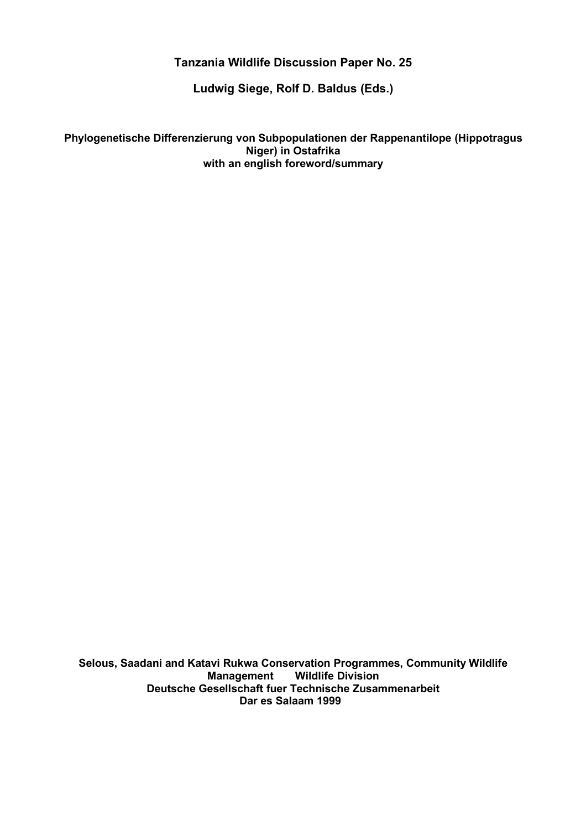## **Tanzania Wildlife Discussion Paper No. 25**

**Ludwig Siege, Rolf D. Baldus (Eds.)**

**Phylogenetische Differenzierung von Subpopulationen der Rappenantilope (Hippotragus Niger) in Ostafrika with an english foreword/summary**

**Selous, Saadani and Katavi Rukwa Conservation Programmes, Community Wildlife Wildlife Division Deutsche Gesellschaft fuer Technische Zusammenarbeit Dar es Salaam 1999**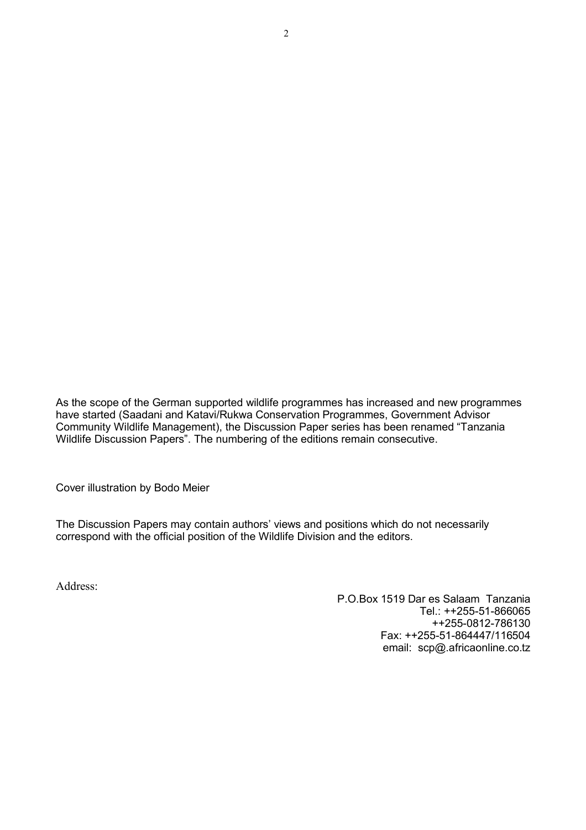As the scope of the German supported wildlife programmes has increased and new programmes have started (Saadani and Katavi/Rukwa Conservation Programmes, Government Advisor Community Wildlife Management), the Discussion Paper series has been renamed "Tanzania Wildlife Discussion Papers". The numbering of the editions remain consecutive.

Cover illustration by Bodo Meier

The Discussion Papers may contain authors' views and positions which do not necessarily correspond with the official position of the Wildlife Division and the editors.

Address:

P.O.Box 1519 Dar es Salaam Tanzania Tel.: ++255-51-866065 ++255-0812-786130 Fax: ++255-51-864447/116504 email: scp@.africaonline.co.tz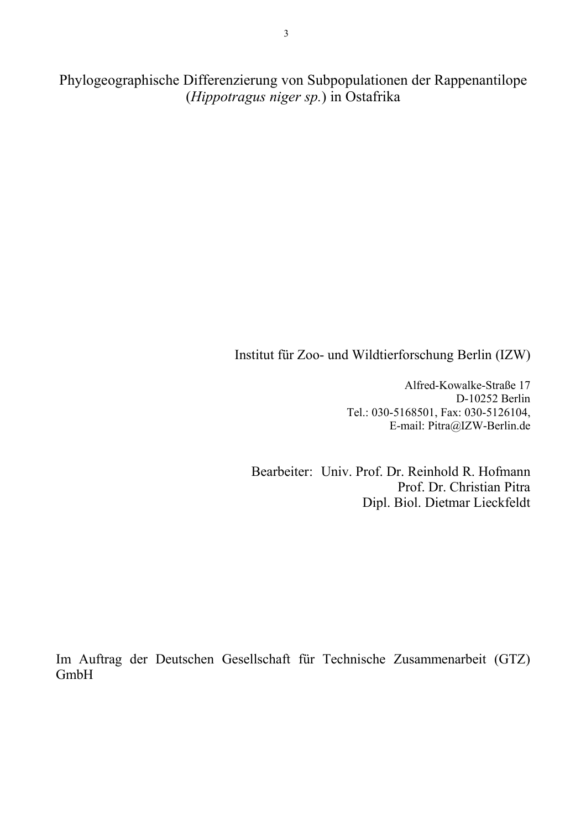Phylogeographische Differenzierung von Subpopulationen der Rappenantilope (*Hippotragus niger sp.*) in Ostafrika

# Institut für Zoo- und Wildtierforschung Berlin (IZW)

Alfred-Kowalke-Straße 17 D-10252 Berlin Tel.: 030-5168501, Fax: 030-5126104, E-mail: Pitra@IZW-Berlin.de

Bearbeiter: Univ. Prof. Dr. Reinhold R. Hofmann Prof. Dr. Christian Pitra Dipl. Biol. Dietmar Lieckfeldt

Im Auftrag der Deutschen Gesellschaft für Technische Zusammenarbeit (GTZ) GmbH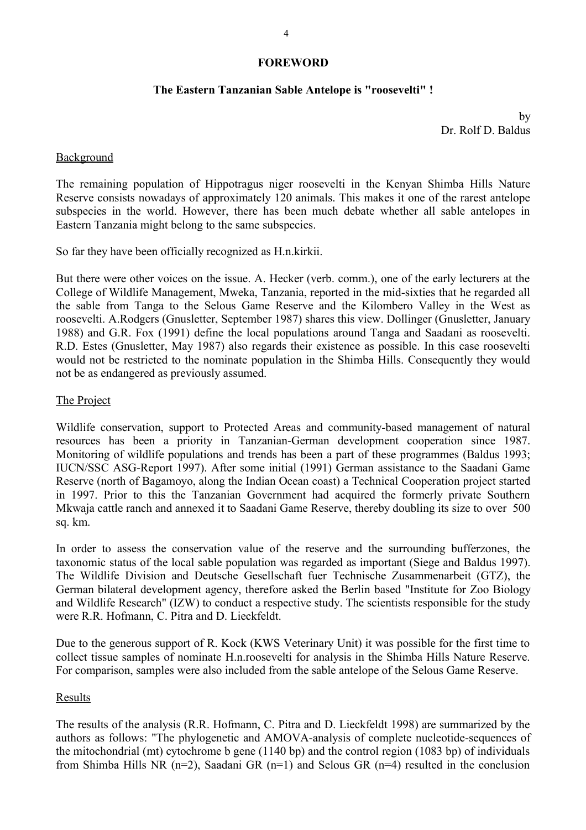#### **FOREWORD**

#### **The Eastern Tanzanian Sable Antelope is "roosevelti" !**

by Dr. Rolf D. Baldus

#### Background

The remaining population of Hippotragus niger roosevelti in the Kenyan Shimba Hills Nature Reserve consists nowadays of approximately 120 animals. This makes it one of the rarest antelope subspecies in the world. However, there has been much debate whether all sable antelopes in Eastern Tanzania might belong to the same subspecies.

So far they have been officially recognized as H.n.kirkii.

But there were other voices on the issue. A. Hecker (verb. comm.), one of the early lecturers at the College of Wildlife Management, Mweka, Tanzania, reported in the mid-sixties that he regarded all the sable from Tanga to the Selous Game Reserve and the Kilombero Valley in the West as roosevelti. A.Rodgers (Gnusletter, September 1987) shares this view. Dollinger (Gnusletter, January 1988) and G.R. Fox (1991) define the local populations around Tanga and Saadani as roosevelti. R.D. Estes (Gnusletter, May 1987) also regards their existence as possible. In this case roosevelti would not be restricted to the nominate population in the Shimba Hills. Consequently they would not be as endangered as previously assumed.

#### The Project

Wildlife conservation, support to Protected Areas and community-based management of natural resources has been a priority in Tanzanian-German development cooperation since 1987. Monitoring of wildlife populations and trends has been a part of these programmes (Baldus 1993; IUCN/SSC ASG-Report 1997). After some initial (1991) German assistance to the Saadani Game Reserve (north of Bagamoyo, along the Indian Ocean coast) a Technical Cooperation project started in 1997. Prior to this the Tanzanian Government had acquired the formerly private Southern Mkwaja cattle ranch and annexed it to Saadani Game Reserve, thereby doubling its size to over 500 sq. km.

In order to assess the conservation value of the reserve and the surrounding bufferzones, the taxonomic status of the local sable population was regarded as important (Siege and Baldus 1997). The Wildlife Division and Deutsche Gesellschaft fuer Technische Zusammenarbeit (GTZ), the German bilateral development agency, therefore asked the Berlin based "Institute for Zoo Biology and Wildlife Research" (IZW) to conduct a respective study. The scientists responsible for the study were R.R. Hofmann, C. Pitra and D. Lieckfeldt.

Due to the generous support of R. Kock (KWS Veterinary Unit) it was possible for the first time to collect tissue samples of nominate H.n.roosevelti for analysis in the Shimba Hills Nature Reserve. For comparison, samples were also included from the sable antelope of the Selous Game Reserve.

#### Results

The results of the analysis (R.R. Hofmann, C. Pitra and D. Lieckfeldt 1998) are summarized by the authors as follows: "The phylogenetic and AMOVA-analysis of complete nucleotide-sequences of the mitochondrial (mt) cytochrome b gene (1140 bp) and the control region (1083 bp) of individuals from Shimba Hills NR ( $n=2$ ), Saadani GR ( $n=1$ ) and Selous GR ( $n=4$ ) resulted in the conclusion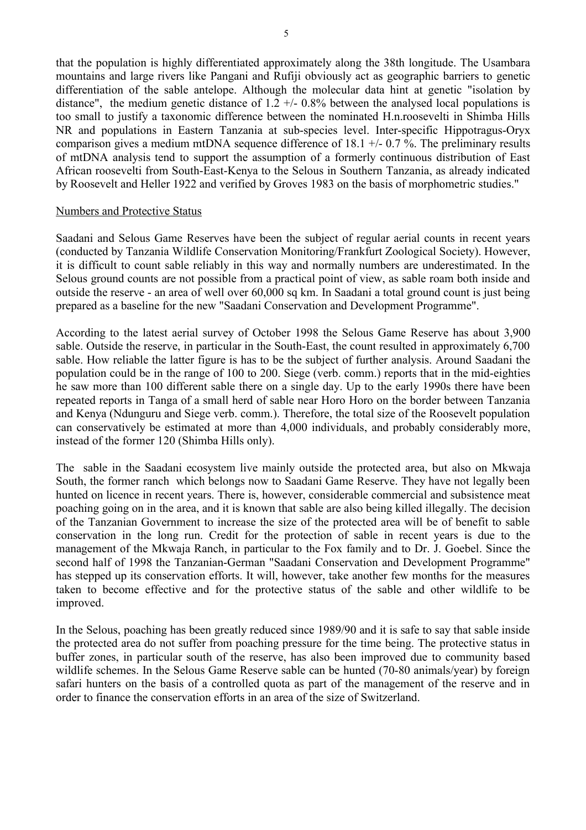that the population is highly differentiated approximately along the 38th longitude. The Usambara mountains and large rivers like Pangani and Rufiji obviously act as geographic barriers to genetic differentiation of the sable antelope. Although the molecular data hint at genetic "isolation by distance", the medium genetic distance of  $1.2 +/- 0.8%$  between the analysed local populations is too small to justify a taxonomic difference between the nominated H.n.roosevelti in Shimba Hills NR and populations in Eastern Tanzania at sub-species level. Inter-specific Hippotragus-Oryx comparison gives a medium mtDNA sequence difference of 18.1 +/- 0.7 %. The preliminary results of mtDNA analysis tend to support the assumption of a formerly continuous distribution of East African roosevelti from South-East-Kenya to the Selous in Southern Tanzania, as already indicated by Roosevelt and Heller 1922 and verified by Groves 1983 on the basis of morphometric studies."

#### Numbers and Protective Status

Saadani and Selous Game Reserves have been the subject of regular aerial counts in recent years (conducted by Tanzania Wildlife Conservation Monitoring/Frankfurt Zoological Society). However, it is difficult to count sable reliably in this way and normally numbers are underestimated. In the Selous ground counts are not possible from a practical point of view, as sable roam both inside and outside the reserve - an area of well over 60,000 sq km. In Saadani a total ground count is just being prepared as a baseline for the new "Saadani Conservation and Development Programme".

According to the latest aerial survey of October 1998 the Selous Game Reserve has about 3,900 sable. Outside the reserve, in particular in the South-East, the count resulted in approximately 6,700 sable. How reliable the latter figure is has to be the subject of further analysis. Around Saadani the population could be in the range of 100 to 200. Siege (verb. comm.) reports that in the mid-eighties he saw more than 100 different sable there on a single day. Up to the early 1990s there have been repeated reports in Tanga of a small herd of sable near Horo Horo on the border between Tanzania and Kenya (Ndunguru and Siege verb. comm.). Therefore, the total size of the Roosevelt population can conservatively be estimated at more than 4,000 individuals, and probably considerably more, instead of the former 120 (Shimba Hills only).

The sable in the Saadani ecosystem live mainly outside the protected area, but also on Mkwaja South, the former ranch which belongs now to Saadani Game Reserve. They have not legally been hunted on licence in recent years. There is, however, considerable commercial and subsistence meat poaching going on in the area, and it is known that sable are also being killed illegally. The decision of the Tanzanian Government to increase the size of the protected area will be of benefit to sable conservation in the long run. Credit for the protection of sable in recent years is due to the management of the Mkwaja Ranch, in particular to the Fox family and to Dr. J. Goebel. Since the second half of 1998 the Tanzanian-German "Saadani Conservation and Development Programme" has stepped up its conservation efforts. It will, however, take another few months for the measures taken to become effective and for the protective status of the sable and other wildlife to be improved.

In the Selous, poaching has been greatly reduced since 1989/90 and it is safe to say that sable inside the protected area do not suffer from poaching pressure for the time being. The protective status in buffer zones, in particular south of the reserve, has also been improved due to community based wildlife schemes. In the Selous Game Reserve sable can be hunted (70-80 animals/year) by foreign safari hunters on the basis of a controlled quota as part of the management of the reserve and in order to finance the conservation efforts in an area of the size of Switzerland.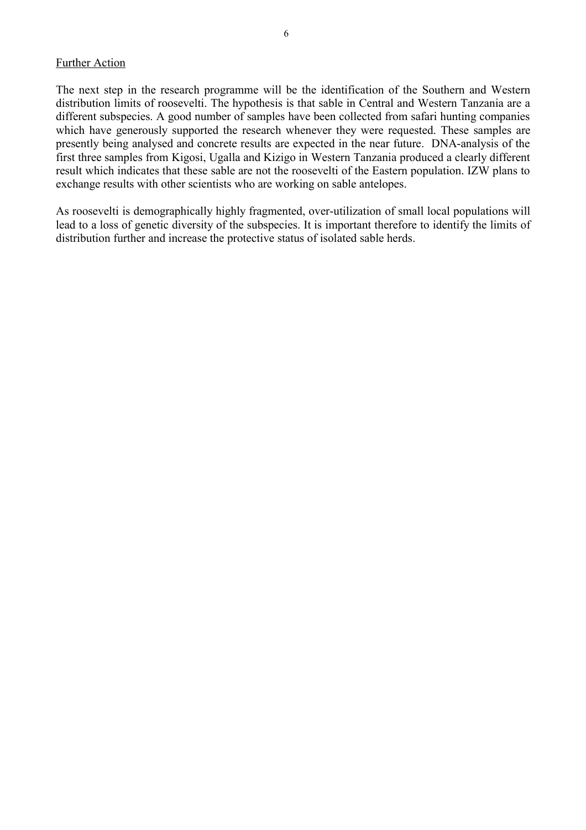The next step in the research programme will be the identification of the Southern and Western distribution limits of roosevelti. The hypothesis is that sable in Central and Western Tanzania are a different subspecies. A good number of samples have been collected from safari hunting companies which have generously supported the research whenever they were requested. These samples are presently being analysed and concrete results are expected in the near future. DNA-analysis of the first three samples from Kigosi, Ugalla and Kizigo in Western Tanzania produced a clearly different result which indicates that these sable are not the roosevelti of the Eastern population. IZW plans to exchange results with other scientists who are working on sable antelopes.

As roosevelti is demographically highly fragmented, over-utilization of small local populations will lead to a loss of genetic diversity of the subspecies. It is important therefore to identify the limits of distribution further and increase the protective status of isolated sable herds.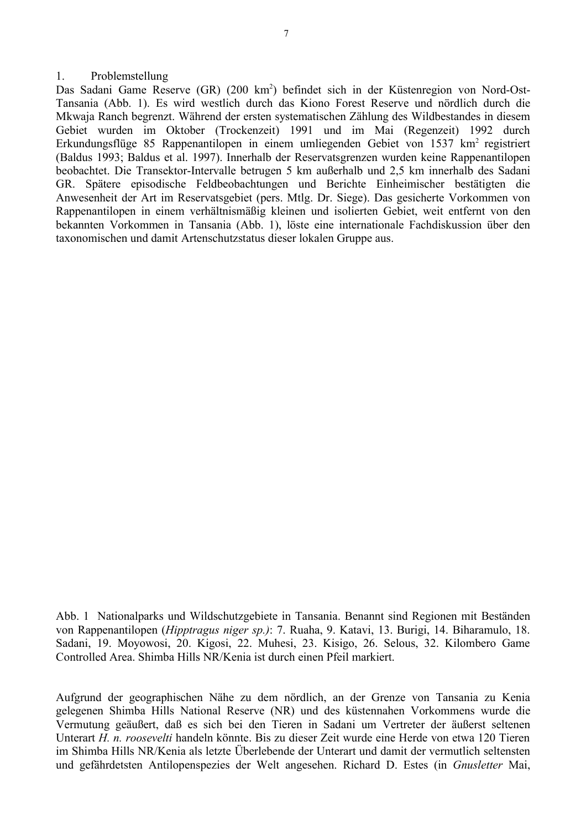#### 1. Problemstellung

Das Sadani Game Reserve (GR) (200 km<sup>2</sup>) befindet sich in der Küstenregion von Nord-Ost-Tansania (Abb. 1). Es wird westlich durch das Kiono Forest Reserve und nördlich durch die Mkwaja Ranch begrenzt. Während der ersten systematischen Zählung des Wildbestandes in diesem Gebiet wurden im Oktober (Trockenzeit) 1991 und im Mai (Regenzeit) 1992 durch Erkundungsflüge 85 Rappenantilopen in einem umliegenden Gebiet von 1537 km<sup>2</sup> registriert (Baldus 1993; Baldus et al. 1997). Innerhalb der Reservatsgrenzen wurden keine Rappenantilopen beobachtet. Die Transektor-Intervalle betrugen 5 km außerhalb und 2,5 km innerhalb des Sadani GR. Spätere episodische Feldbeobachtungen und Berichte Einheimischer bestätigten die Anwesenheit der Art im Reservatsgebiet (pers. Mtlg. Dr. Siege). Das gesicherte Vorkommen von Rappenantilopen in einem verhältnismäßig kleinen und isolierten Gebiet, weit entfernt von den bekannten Vorkommen in Tansania (Abb. 1), löste eine internationale Fachdiskussion über den taxonomischen und damit Artenschutzstatus dieser lokalen Gruppe aus.

Abb. 1 Nationalparks und Wildschutzgebiete in Tansania. Benannt sind Regionen mit Beständen von Rappenantilopen (*Hipptragus niger sp.)*: 7. Ruaha, 9. Katavi, 13. Burigi, 14. Biharamulo, 18. Sadani, 19. Moyowosi, 20. Kigosi, 22. Muhesi, 23. Kisigo, 26. Selous, 32. Kilombero Game Controlled Area. Shimba Hills NR/Kenia ist durch einen Pfeil markiert.

Aufgrund der geographischen Nähe zu dem nördlich, an der Grenze von Tansania zu Kenia gelegenen Shimba Hills National Reserve (NR) und des küstennahen Vorkommens wurde die Vermutung geäußert, daß es sich bei den Tieren in Sadani um Vertreter der äußerst seltenen Unterart *H. n. roosevelti* handeln könnte. Bis zu dieser Zeit wurde eine Herde von etwa 120 Tieren im Shimba Hills NR/Kenia als letzte Überlebende der Unterart und damit der vermutlich seltensten und gefährdetsten Antilopenspezies der Welt angesehen. Richard D. Estes (in *Gnusletter* Mai,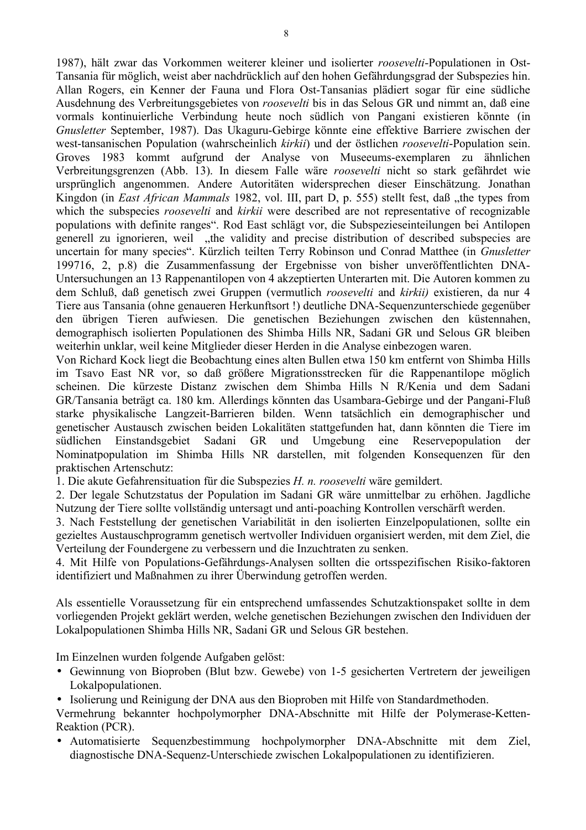1987), hält zwar das Vorkommen weiterer kleiner und isolierter *roosevelti*-Populationen in Ost-Tansania für möglich, weist aber nachdrücklich auf den hohen Gefährdungsgrad der Subspezies hin. Allan Rogers, ein Kenner der Fauna und Flora Ost-Tansanias plädiert sogar für eine südliche Ausdehnung des Verbreitungsgebietes von *roosevelti* bis in das Selous GR und nimmt an, daß eine vormals kontinuierliche Verbindung heute noch südlich von Pangani existieren könnte (in *Gnusletter* September, 1987). Das Ukaguru-Gebirge könnte eine effektive Barriere zwischen der west-tansanischen Population (wahrscheinlich *kirkii*) und der östlichen *roosevelti*-Population sein. Groves 1983 kommt aufgrund der Analyse von Museeums-exemplaren zu ähnlichen Verbreitungsgrenzen (Abb. 13). In diesem Falle wäre *roosevelti* nicht so stark gefährdet wie ursprünglich angenommen. Andere Autoritäten widersprechen dieser Einschätzung. Jonathan Kingdon (in *East African Mammals* 1982, vol. III, part D, p. 555) stellt fest, daß "the types from which the subspecies *roosevelti* and *kirkii* were described are not representative of recognizable populations with definite ranges". Rod East schlägt vor, die Subspezieseinteilungen bei Antilopen generell zu ignorieren, weil "the validity and precise distribution of described subspecies are uncertain for many species". Kürzlich teilten Terry Robinson und Conrad Matthee (in *Gnusletter* 199716, 2, p.8) die Zusammenfassung der Ergebnisse von bisher unveröffentlichten DNA-Untersuchungen an 13 Rappenantilopen von 4 akzeptierten Unterarten mit. Die Autoren kommen zu dem Schluß, daß genetisch zwei Gruppen (vermutlich *roosevelti* and *kirkii)* existieren, da nur 4 Tiere aus Tansania (ohne genaueren Herkunftsort !) deutliche DNA-Sequenzunterschiede gegenüber den übrigen Tieren aufwiesen. Die genetischen Beziehungen zwischen den küstennahen, demographisch isolierten Populationen des Shimba Hills NR, Sadani GR und Selous GR bleiben weiterhin unklar, weil keine Mitglieder dieser Herden in die Analyse einbezogen waren.

Von Richard Kock liegt die Beobachtung eines alten Bullen etwa 150 km entfernt von Shimba Hills im Tsavo East NR vor, so daß größere Migrationsstrecken für die Rappenantilope möglich scheinen. Die kürzeste Distanz zwischen dem Shimba Hills N R/Kenia und dem Sadani GR/Tansania beträgt ca. 180 km. Allerdings könnten das Usambara-Gebirge und der Pangani-Fluß starke physikalische Langzeit-Barrieren bilden. Wenn tatsächlich ein demographischer und genetischer Austausch zwischen beiden Lokalitäten stattgefunden hat, dann könnten die Tiere im südlichen Einstandsgebiet Sadani GR und Umgebung eine Reservepopulation der Nominatpopulation im Shimba Hills NR darstellen, mit folgenden Konsequenzen für den praktischen Artenschutz:

1. Die akute Gefahrensituation für die Subspezies *H. n. roosevelti* wäre gemildert.

2. Der legale Schutzstatus der Population im Sadani GR wäre unmittelbar zu erhöhen. Jagdliche Nutzung der Tiere sollte vollständig untersagt und anti-poaching Kontrollen verschärft werden.

3. Nach Feststellung der genetischen Variabilität in den isolierten Einzelpopulationen, sollte ein gezieltes Austauschprogramm genetisch wertvoller Individuen organisiert werden, mit dem Ziel, die Verteilung der Foundergene zu verbessern und die Inzuchtraten zu senken.

4. Mit Hilfe von Populations-Gefährdungs-Analysen sollten die ortsspezifischen Risiko-faktoren identifiziert und Maßnahmen zu ihrer Überwindung getroffen werden.

Als essentielle Voraussetzung für ein entsprechend umfassendes Schutzaktionspaket sollte in dem vorliegenden Projekt geklärt werden, welche genetischen Beziehungen zwischen den Individuen der Lokalpopulationen Shimba Hills NR, Sadani GR und Selous GR bestehen.

Im Einzelnen wurden folgende Aufgaben gelöst:

• Gewinnung von Bioproben (Blut bzw. Gewebe) von 1-5 gesicherten Vertretern der jeweiligen Lokalpopulationen.

• Isolierung und Reinigung der DNA aus den Bioproben mit Hilfe von Standardmethoden.

Vermehrung bekannter hochpolymorpher DNA-Abschnitte mit Hilfe der Polymerase-Ketten-Reaktion (PCR).

• Automatisierte Sequenzbestimmung hochpolymorpher DNA-Abschnitte mit dem Ziel, diagnostische DNA-Sequenz-Unterschiede zwischen Lokalpopulationen zu identifizieren.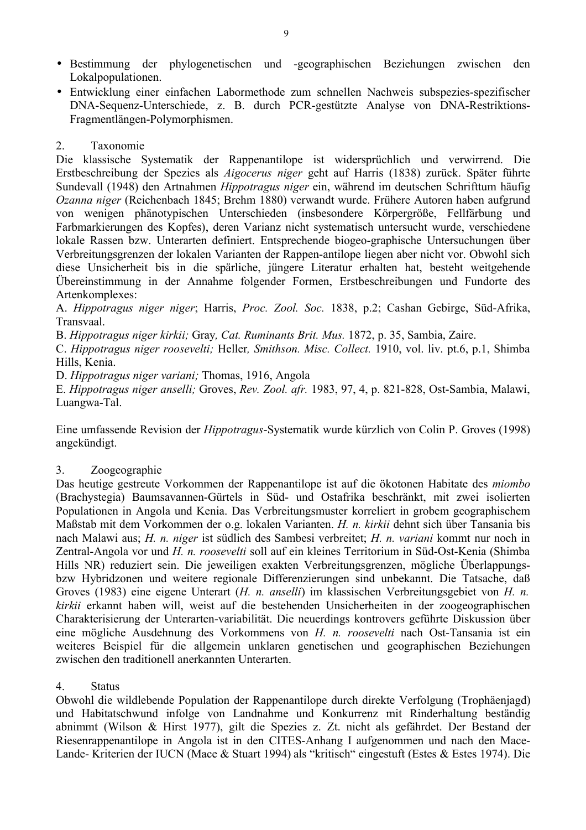- Bestimmung der phylogenetischen und -geographischen Beziehungen zwischen den Lokalpopulationen.
- Entwicklung einer einfachen Labormethode zum schnellen Nachweis subspezies-spezifischer DNA-Sequenz-Unterschiede, z. B. durch PCR-gestützte Analyse von DNA-Restriktions-Fragmentlängen-Polymorphismen.

## 2. Taxonomie

Die klassische Systematik der Rappenantilope ist widersprüchlich und verwirrend. Die Erstbeschreibung der Spezies als *Aigocerus niger* geht auf Harris (1838) zurück. Später führte Sundevall (1948) den Artnahmen *Hippotragus niger* ein, während im deutschen Schrifttum häufig *Ozanna niger* (Reichenbach 1845; Brehm 1880) verwandt wurde. Frühere Autoren haben aufgrund von wenigen phänotypischen Unterschieden (insbesondere Körpergröße, Fellfärbung und Farbmarkierungen des Kopfes), deren Varianz nicht systematisch untersucht wurde, verschiedene lokale Rassen bzw. Unterarten definiert. Entsprechende biogeo-graphische Untersuchungen über Verbreitungsgrenzen der lokalen Varianten der Rappen-antilope liegen aber nicht vor. Obwohl sich diese Unsicherheit bis in die spärliche, jüngere Literatur erhalten hat, besteht weitgehende Übereinstimmung in der Annahme folgender Formen, Erstbeschreibungen und Fundorte des Artenkomplexes:

A. *Hippotragus niger niger*; Harris, *Proc. Zool. Soc.* 1838, p.2; Cashan Gebirge, Süd-Afrika, Transvaal.

B. *Hippotragus niger kirkii;* Gray*, Cat. Ruminants Brit. Mus.* 1872, p. 35, Sambia, Zaire.

C. *Hippotragus niger roosevelti;* Heller*, Smithson. Misc. Collect.* 1910, vol. liv. pt.6, p.1, Shimba Hills, Kenia.

D. *Hippotragus niger variani;* Thomas, 1916, Angola

E. *Hippotragus niger anselli;* Groves, *Rev. Zool. afr.* 1983, 97, 4, p. 821-828, Ost-Sambia, Malawi, Luangwa-Tal.

Eine umfassende Revision der *Hippotragus*-Systematik wurde kürzlich von Colin P. Groves (1998) angekündigt.

#### 3. Zoogeographie

Das heutige gestreute Vorkommen der Rappenantilope ist auf die ökotonen Habitate des *miombo* (Brachystegia) Baumsavannen-Gürtels in Süd- und Ostafrika beschränkt, mit zwei isolierten Populationen in Angola und Kenia. Das Verbreitungsmuster korreliert in grobem geographischem Maßstab mit dem Vorkommen der o.g. lokalen Varianten. *H. n. kirkii* dehnt sich über Tansania bis nach Malawi aus; *H. n. niger* ist südlich des Sambesi verbreitet; *H. n. variani* kommt nur noch in Zentral-Angola vor und *H. n. roosevelti* soll auf ein kleines Territorium in Süd-Ost-Kenia (Shimba Hills NR) reduziert sein. Die jeweiligen exakten Verbreitungsgrenzen, mögliche Überlappungsbzw Hybridzonen und weitere regionale Differenzierungen sind unbekannt. Die Tatsache, daß Groves (1983) eine eigene Unterart (*H. n. anselli*) im klassischen Verbreitungsgebiet von *H. n. kirkii* erkannt haben will, weist auf die bestehenden Unsicherheiten in der zoogeographischen Charakterisierung der Unterarten-variabilität. Die neuerdings kontrovers geführte Diskussion über eine mögliche Ausdehnung des Vorkommens von *H. n. roosevelti* nach Ost-Tansania ist ein weiteres Beispiel für die allgemein unklaren genetischen und geographischen Beziehungen zwischen den traditionell anerkannten Unterarten.

## 4. Status

Obwohl die wildlebende Population der Rappenantilope durch direkte Verfolgung (Trophäenjagd) und Habitatschwund infolge von Landnahme und Konkurrenz mit Rinderhaltung beständig abnimmt (Wilson & Hirst 1977), gilt die Spezies z. Zt. nicht als gefährdet. Der Bestand der Riesenrappenantilope in Angola ist in den CITES-Anhang I aufgenommen und nach den Mace-Lande- Kriterien der IUCN (Mace & Stuart 1994) als "kritisch" eingestuft (Estes & Estes 1974). Die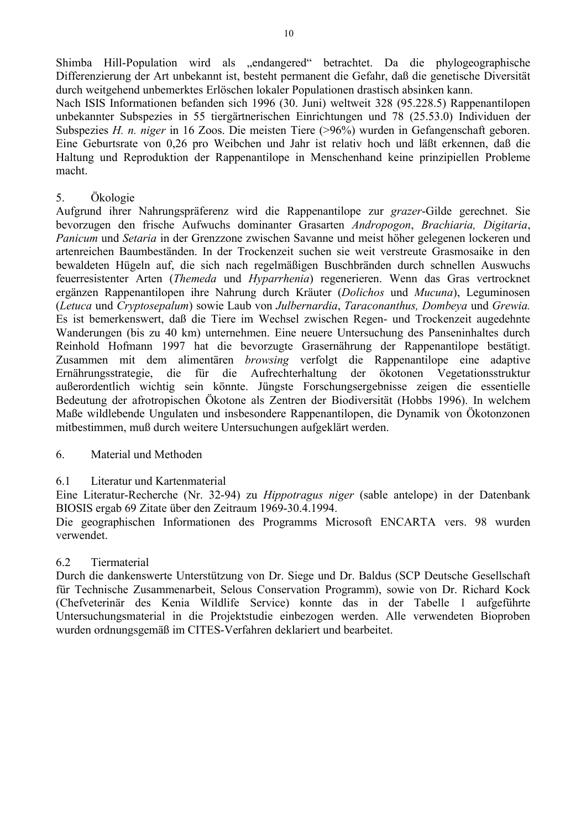Shimba Hill-Population wird als "endangered" betrachtet. Da die phylogeographische Differenzierung der Art unbekannt ist, besteht permanent die Gefahr, daß die genetische Diversität durch weitgehend unbemerktes Erlöschen lokaler Populationen drastisch absinken kann.

Nach ISIS Informationen befanden sich 1996 (30. Juni) weltweit 328 (95.228.5) Rappenantilopen unbekannter Subspezies in 55 tiergärtnerischen Einrichtungen und 78 (25.53.0) Individuen der Subspezies *H. n. niger* in 16 Zoos. Die meisten Tiere (>96%) wurden in Gefangenschaft geboren. Eine Geburtsrate von 0,26 pro Weibchen und Jahr ist relativ hoch und läßt erkennen, daß die Haltung und Reproduktion der Rappenantilope in Menschenhand keine prinzipiellen Probleme macht.

## 5. Ökologie

Aufgrund ihrer Nahrungspräferenz wird die Rappenantilope zur *grazer*-Gilde gerechnet. Sie bevorzugen den frische Aufwuchs dominanter Grasarten *Andropogon*, *Brachiaria, Digitaria*, *Panicum* und *Setaria* in der Grenzzone zwischen Savanne und meist höher gelegenen lockeren und artenreichen Baumbeständen. In der Trockenzeit suchen sie weit verstreute Grasmosaike in den bewaldeten Hügeln auf, die sich nach regelmäßigen Buschbränden durch schnellen Auswuchs feuerresistenter Arten (*Themeda* und *Hyparrhenia*) regenerieren. Wenn das Gras vertrocknet ergänzen Rappenantilopen ihre Nahrung durch Kräuter (*Dolichos* und *Mucuna*), Leguminosen (*Letuca* und *Cryptosepalum*) sowie Laub von *Julbernardia*, *Taraconanthus, Dombeya* und *Grewia.* Es ist bemerkenswert, daß die Tiere im Wechsel zwischen Regen- und Trockenzeit augedehnte Wanderungen (bis zu 40 km) unternehmen. Eine neuere Untersuchung des Panseninhaltes durch Reinhold Hofmann 1997 hat die bevorzugte Grasernährung der Rappenantilope bestätigt. Zusammen mit dem alimentären *browsing* verfolgt die Rappenantilope eine adaptive Ernährungsstrategie, die für die Aufrechterhaltung der ökotonen Vegetationsstruktur außerordentlich wichtig sein könnte. Jüngste Forschungsergebnisse zeigen die essentielle Bedeutung der afrotropischen Ökotone als Zentren der Biodiversität (Hobbs 1996). In welchem Maße wildlebende Ungulaten und insbesondere Rappenantilopen, die Dynamik von Ökotonzonen mitbestimmen, muß durch weitere Untersuchungen aufgeklärt werden.

## 6. Material und Methoden

## 6.1 Literatur und Kartenmaterial

Eine Literatur-Recherche (Nr. 32-94) zu *Hippotragus niger* (sable antelope) in der Datenbank BIOSIS ergab 69 Zitate über den Zeitraum 1969-30.4.1994.

Die geographischen Informationen des Programms Microsoft ENCARTA vers. 98 wurden verwendet.

#### 6.2 Tiermaterial

Durch die dankenswerte Unterstützung von Dr. Siege und Dr. Baldus (SCP Deutsche Gesellschaft für Technische Zusammenarbeit, Selous Conservation Programm), sowie von Dr. Richard Kock (Chefveterinär des Kenia Wildlife Service) konnte das in der Tabelle 1 aufgeführte Untersuchungsmaterial in die Projektstudie einbezogen werden. Alle verwendeten Bioproben wurden ordnungsgemäß im CITES-Verfahren deklariert und bearbeitet.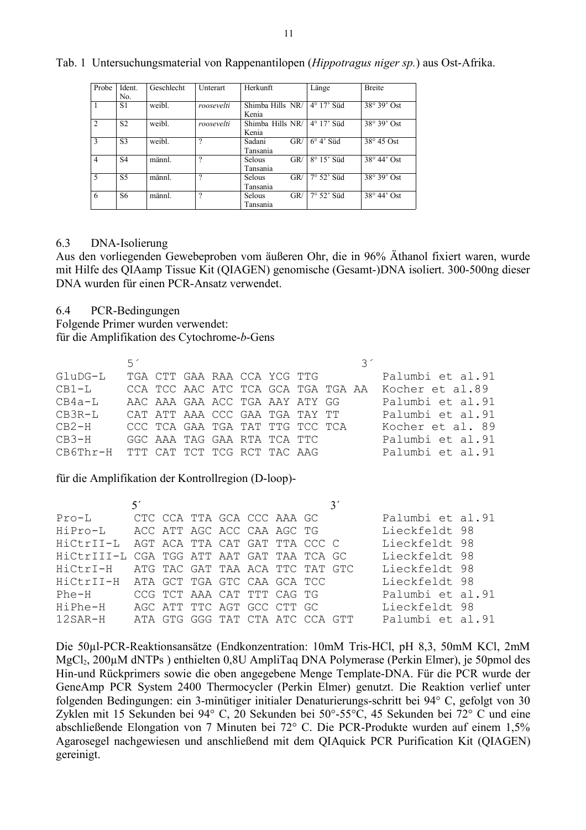| Probe          | Ident.         | Geschlecht | Unterart   | Herkunft         | Länge               | <b>Breite</b>      |
|----------------|----------------|------------|------------|------------------|---------------------|--------------------|
|                | No.            |            |            |                  |                     |                    |
| 1              | S1             | weibl.     | roosevelti | Shimba Hills NR/ | $4^{\circ}$ 17' Süd | $38^\circ 39'$ Ost |
|                |                |            |            | Kenia            |                     |                    |
| 2              | S <sub>2</sub> | weibl.     | roosevelti | Shimba Hills NR/ | $4^{\circ}$ 17' Süd | $38^\circ 39'$ Ost |
|                |                |            |            | Kenia            |                     |                    |
| 3              | S <sub>3</sub> | weibl.     | ?          | GR/<br>Sadani    | $6^{\circ}$ 4' Süd  | $38^\circ 45$ Ost  |
|                |                |            |            | Tansania         |                     |                    |
| $\overline{4}$ | S <sub>4</sub> | männl.     | ?          | GR/<br>Selous    | $8^{\circ} 15'$ Süd | $38^\circ 44'$ Ost |
|                |                |            |            | Tansania         |                     |                    |
| 5              | S <sub>5</sub> | männl.     | ?          | GR/<br>Selous    | $7^\circ$ 52' Süd   | $38^\circ 39'$ Ost |
|                |                |            |            | Tansania         |                     |                    |
| 6              | S6             | männl.     | ?          | GR/<br>Selous    | $7^{\circ}$ 52' Süd | $38^\circ 44'$ Ost |
|                |                |            |            | Tansania         |                     |                    |

Tab. 1Untersuchungsmaterial von Rappenantilopen (*Hippotragus niger sp.*) aus Ost-Afrika.

#### 6.3 DNA-Isolierung

Aus den vorliegenden Gewebeproben vom äußeren Ohr, die in 96% Äthanol fixiert waren, wurde mit Hilfe des QIAamp Tissue Kit (QIAGEN) genomische (Gesamt-)DNA isoliert. 300-500ng dieser DNA wurden für einen PCR-Ansatz verwendet.

6.4 PCR-Bedingungen

Folgende Primer wurden verwendet:

für die Amplifikation des Cytochrome-*b*-Gens

|                                      | 51 |                             |  |  |                                 |  |                                                    |
|--------------------------------------|----|-----------------------------|--|--|---------------------------------|--|----------------------------------------------------|
| GluDG-L                              |    | TGA CTT GAA RAA CCA YCG TTG |  |  |                                 |  | Palumbi et al.91                                   |
| $CB1-L$                              |    |                             |  |  |                                 |  | CCA TCC AAC ATC TCA GCA TGA TGA AA Kocher et al.89 |
| $CB4a-L$                             |    |                             |  |  | AAC AAA GAA ACC TGA AAY ATY GG  |  | Palumbi et al.91                                   |
| $CR3R-T$                             |    |                             |  |  | CAT ATT AAA CCC GAA TGA TAY TT  |  | Palumbi et al.91                                   |
| $CB2-H$                              |    |                             |  |  | CCC TCA GAA TGA TAT TTG TCC TCA |  | Kocher et al. 89                                   |
| $CB3-H$                              |    | GGC AAA TAG GAA RTA TCA TTC |  |  |                                 |  | Palumbi et al.91                                   |
| CB6Thr-H TTT CAT TCT TCG RCT TAC AAG |    |                             |  |  |                                 |  | Palumbi et al.91                                   |
|                                      |    |                             |  |  |                                 |  |                                                    |

für die Amplifikation der Kontrollregion (D-loop)-

| Proof                                     | CTC CCA TTA GCA CCC AAA GC |  |                                 |  |  | Palumbi et al.91 |  |
|-------------------------------------------|----------------------------|--|---------------------------------|--|--|------------------|--|
| HiPro-L ACC ATT AGC ACC CAA AGC TG        |                            |  |                                 |  |  | Lieckfeldt 98    |  |
| HiCtrII-L AGT ACA TTA CAT GAT TTA CCC C   |                            |  |                                 |  |  | Lieckfeldt 98    |  |
| HiCtrIII-L CGA TGG ATT AAT GAT TAA TCA GC |                            |  |                                 |  |  | Lieckfeldt 98    |  |
| HiCtrI-H ATG TAC GAT TAA ACA TTC TAT GTC  |                            |  |                                 |  |  | Lieckfeldt 98    |  |
| HiCtrII-H ATA GCT TGA GTC CAA GCA TCC     |                            |  |                                 |  |  | Lieckfeldt 98    |  |
| Phe-H CCG TCT AAA CAT TTT CAG TG          |                            |  |                                 |  |  | Palumbi et al.91 |  |
| HiPhe-H                                   |                            |  | AGC ATT TTC AGT GCC CTT GC      |  |  | Lieckfeldt 98    |  |
| 12SAR-H                                   |                            |  | ATA GTG GGG TAT CTA ATC CCA GTT |  |  | Palumbi et al.91 |  |

Die 50µl-PCR-Reaktionsansätze (Endkonzentration: 10mM Tris-HCl, pH 8,3, 50mM KCl, 2mM MgCl2, 200µM dNTPs ) enthielten 0,8U AmpliTaq DNA Polymerase (Perkin Elmer), je 50pmol des Hin-und Rückprimers sowie die oben angegebene Menge Template-DNA. Für die PCR wurde der GeneAmp PCR System 2400 Thermocycler (Perkin Elmer) genutzt. Die Reaktion verlief unter folgenden Bedingungen: ein 3-minütiger initialer Denaturierungs-schritt bei 94° C, gefolgt von 30 Zyklen mit 15 Sekunden bei 94° C, 20 Sekunden bei 50°-55°C, 45 Sekunden bei 72° C und eine abschließende Elongation von 7 Minuten bei 72° C. Die PCR-Produkte wurden auf einem 1,5% Agarosegel nachgewiesen und anschließend mit dem QIAquick PCR Purification Kit (QIAGEN) gereinigt.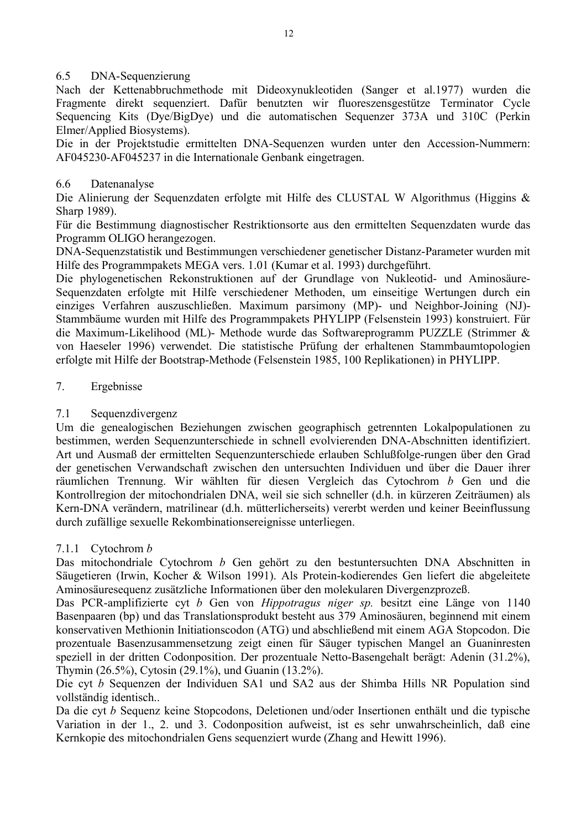## 6.5 DNA-Sequenzierung

Nach der Kettenabbruchmethode mit Dideoxynukleotiden (Sanger et al.1977) wurden die Fragmente direkt sequenziert. Dafür benutzten wir fluoreszensgestütze Terminator Cycle Sequencing Kits (Dye/BigDye) und die automatischen Sequenzer 373A und 310C (Perkin Elmer/Applied Biosystems).

Die in der Projektstudie ermittelten DNA-Sequenzen wurden unter den Accession-Nummern: AF045230-AF045237 in die Internationale Genbank eingetragen.

### 6.6 Datenanalyse

Die Alinierung der Sequenzdaten erfolgte mit Hilfe des CLUSTAL W Algorithmus (Higgins & Sharp 1989).

Für die Bestimmung diagnostischer Restriktionsorte aus den ermittelten Sequenzdaten wurde das Programm OLIGO herangezogen.

DNA-Sequenzstatistik und Bestimmungen verschiedener genetischer Distanz-Parameter wurden mit Hilfe des Programmpakets MEGA vers. 1.01 (Kumar et al. 1993) durchgeführt.

Die phylogenetischen Rekonstruktionen auf der Grundlage von Nukleotid- und Aminosäure-Sequenzdaten erfolgte mit Hilfe verschiedener Methoden, um einseitige Wertungen durch ein einziges Verfahren auszuschließen. Maximum parsimony (MP)- und Neighbor-Joining (NJ)- Stammbäume wurden mit Hilfe des Programmpakets PHYLIPP (Felsenstein 1993) konstruiert. Für die Maximum-Likelihood (ML)- Methode wurde das Softwareprogramm PUZZLE (Strimmer & von Haeseler 1996) verwendet. Die statistische Prüfung der erhaltenen Stammbaumtopologien erfolgte mit Hilfe der Bootstrap-Methode (Felsenstein 1985, 100 Replikationen) in PHYLIPP.

### 7. Ergebnisse

## 7.1 Sequenzdivergenz

Um die genealogischen Beziehungen zwischen geographisch getrennten Lokalpopulationen zu bestimmen, werden Sequenzunterschiede in schnell evolvierenden DNA-Abschnitten identifiziert. Art und Ausmaß der ermittelten Sequenzunterschiede erlauben Schlußfolge-rungen über den Grad der genetischen Verwandschaft zwischen den untersuchten Individuen und über die Dauer ihrer räumlichen Trennung. Wir wählten für diesen Vergleich das Cytochrom *b* Gen und die Kontrollregion der mitochondrialen DNA, weil sie sich schneller (d.h. in kürzeren Zeiträumen) als Kern-DNA verändern, matrilinear (d.h. mütterlicherseits) vererbt werden und keiner Beeinflussung durch zufällige sexuelle Rekombinationsereignisse unterliegen.

#### 7.1.1 Cytochrom *b*

Das mitochondriale Cytochrom *b* Gen gehört zu den bestuntersuchten DNA Abschnitten in Säugetieren (Irwin, Kocher & Wilson 1991). Als Protein-kodierendes Gen liefert die abgeleitete Aminosäuresequenz zusätzliche Informationen über den molekularen Divergenzprozeß.

Das PCR-amplifizierte cyt *b* Gen von *Hippotragus niger sp.* besitzt eine Länge von 1140 Basenpaaren (bp) und das Translationsprodukt besteht aus 379 Aminosäuren, beginnend mit einem konservativen Methionin Initiationscodon (ATG) und abschließend mit einem AGA Stopcodon. Die prozentuale Basenzusammensetzung zeigt einen für Säuger typischen Mangel an Guaninresten speziell in der dritten Codonposition. Der prozentuale Netto-Basengehalt berägt: Adenin (31.2%), Thymin (26.5%), Cytosin (29.1%), und Guanin (13.2%).

Die cyt *b* Sequenzen der Individuen SA1 und SA2 aus der Shimba Hills NR Population sind vollständig identisch..

Da die cyt *b* Sequenz keine Stopcodons, Deletionen und/oder Insertionen enthält und die typische Variation in der 1., 2. und 3. Codonposition aufweist, ist es sehr unwahrscheinlich, daß eine Kernkopie des mitochondrialen Gens sequenziert wurde (Zhang and Hewitt 1996).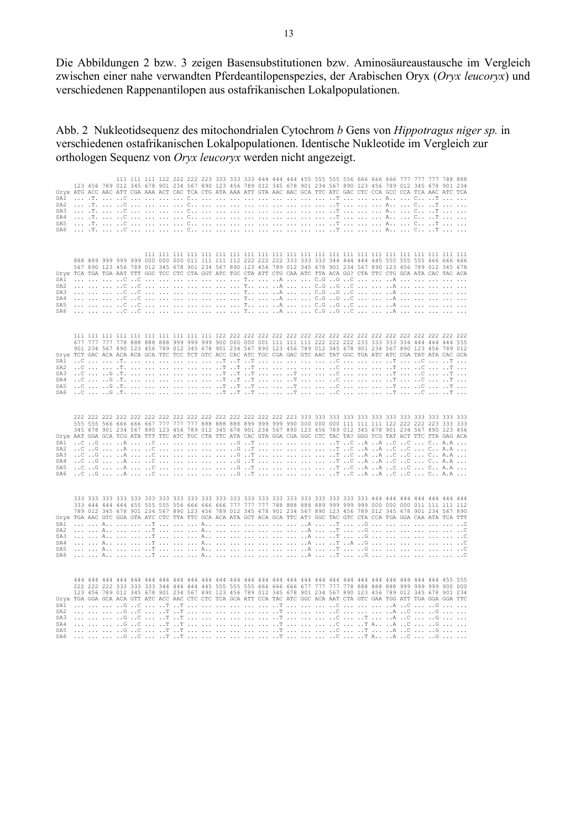Die Abbildungen 2 bzw. 3 zeigen Basensubstitutionen bzw. Aminosäureaustausche im Vergleich zwischen einer nahe verwandten Pferdeantilopenspezies, der Arabischen Oryx (*Oryx leucoryx*) und verschiedenen Rappenantilopen aus ostafrikanischen Lokalpopulationen.

Abb. 2 Nukleotidsequenz des mitochondrialen Cytochrom *b* Gens von *Hippotragus niger sp.* in verschiedenen ostafrikanischen Lokalpopulationen. Identische Nukleotide im Vergleich zur orthologen Sequenz von *Oryx leucoryx* werden nicht angezeigt.

 111 111 111 122 222 222 223 333 333 333 444 444 444 455 555 555 556 666 666 666 777 777 777 788 888 123 456 789 012 345 678 901 234 567 890 123 456 789 012 345 678 901 234 567 890 123 456 789 012 345 678 901 234 Oryx ATG ACC AAC ATT CGA AAA ACT CAC TCA CTG ATA AAA ATT GTA AAC AAC GCA TTC ATC GAC CTC CCA GCC CCA TCA AAC ATC TCA SA1 ... .T. ... ..C ... ... ... ... C.. ... ... ... ... ... ... ... ... ... ..T ... ... ... A.. ... C.. ..T ... ... SA2 ... .T. ... ..C ... ... ... ... C.. ... ... ... ... ... ... ... ... ... ..T ... ... ... A.. ... C.. ..T ... ... SA3 ... .T. ... ..C ... ... ... ... C.. ... ... ... ... ... ... ... ... ... ..T ... ... ... A.. ... C.. ..T ... ... SA4 ... .T. ... ..C ... ... ... ... C.. ... ... ... ... ... ... ... ... ... ..T ... ... ... A.. ... C.. ..T ... ... SA5 ... .T. ... ..C ... ... ... ... C.. ... ... ... ... ... ... ... ... ... ..T ... ... ... A.. ... C.. ..T ... ... SA6 ... .T. ... ..C ... ... ... ... C.. ... ... ... ... ... ... ... ... ... ..T ... ... ... A.. ... C.. ..T ... ... 111 111 111 111 111 111 111 111 111 111 111 111 111 111 111 111 111 111 111 111 111 111 111 888 889 999 999 999 000 000 000 011 111 111 112 222 222 222 333 333 333 344 444 444 445 555 555 555 666 666 666 567 890 123 456 789 012 345 678 901 234 567 890 123 456 789 012 345 678 901 234 567 890 123 456 789 012 345 678 Oryx TCA TGA TGA AAT TTT GGC TCC CTC CTA GGT ATC TGC CTA ATT CTG CAA ATC TTA ACA GG? CTA TTC CTG GCA ATA CAC TAC ACA SA1 ... ... ... ..C ..C ... ... ... ... ... ... ... T.. ... ..A ... ... C.G ..G ..C ... ... ..A ... ... ... ... ... SA2 ... ... ... ..C ..C ... ... ... ... ... ... ... T.. ... ..A ... ... C.G ..G ..C ... ... ..A ... ... ... ... ... SA3 ... ... ... ..C ..C ... ... ... ... ... ... ... T.. ... ..A ... ... C.G ..G ..C ... ... ..A ... ... ... ... ... SA4 ... ... ... ..C ..C ... ... ... ... ... ... ... T.. ... ..A ... ... C.G ..G ..C ... ... ..A ... ... ... ... ... SA5 ... ... ... ..C ..C ... ... ... ... ... ... ... T.. ... ..A ... ... C.G ..G ..C ... ... ..A ... ... ... ... ... SA6 ... ... ... ..C ..C ... ... ... ... ... ... ... T.. ... ..A ... ... C.G ..G ..C ... ... ..A ... ... ... ... ... 111 111 111 111 111 111 111 111 111 111 122 222 222 222 222 222 222 222 222 222 222 222 222 222 222 222 222 222 677 777 777 778 888 888 888 999 999 999 900 000 000 001 111 111 111 222 222 222 233 333 333 334 444 444 444 555 901 234 567 890 123 456 789 012 345 678 901 234 567 890 123 456 789 012 345 678 901 234 567 890 123 456 789 012 Oryx TCT GAC ACA ACA ACA GCA TTC TCC TCT GTC ACC CAC ATC TGC CGA GAC GTC AAC TAT GGC TGA ATC ATC CGA TAT ATA CAC GCA SA1 ..C ... ... .T. ... ... ... ... ... ... ..T ..T ..T ... ... ... ... ... ..C ... ... ... ..T ... ..C ... ..T ... SA2 ..C ... ... .T. ... ... ... ... ... ... ..T ..T ..T ... ... ... ... ... ..C ... ... ... ..T ... ..C ... ..T ... SA3 ..C ... ..G .T. ... ... ... ... ... ... ..T ..T ..T ... ... ..T ... ... ..C ... ... ... ..T ... ..C ... ..T ... SA4 ..C ... ..G .T. ... ... ... ... ... ... ..T ..T ..T ... ... ..T ... ... ..C ... ... ... ..T ... ..C ... ..T ... SA5 ..C ... ..G .T. ... ... ... ... ... ... ..T ..T ..T ... ... ..T ... ... ..C ... ... ... ..T ... ..C ... ..T ... SA6 ..C ... ..G .T. ... ... ... ... ... ... ..T ..T ..T ... ... ..T ... ... ..C ... ... ... ..T ... ..C ... ..T ... 222 222 222 222 222 222 222 222 222 222 222 222 222 222 222 223 333 333 333 333 333 333 333 333 333 333 333 333 555 555 566 666 666 667 777 777 777 888 888 888 899 999 999 990 000 000 000 111 111 111 122 222 222 223 333 333 345 678 901 234 567 890 123 456 789 012 345 678 901 234 567 890 123 456 789 012 345 678 901 234 567 890 123 456 Oryx AAT GGA GCA TCG ATA TTT TTC ATC TGC CTA TTC ATA CAC GTA GGA CGA GGC CTC TAC TA? GGG TCG TAT ACT TTC TTA GAG ACA SA1 ..C ..G ... ..A ... ..C ... ... ... ... ... ..G ..T ... ... ... ... ... ..T ..C ..A ..A ..C ..C ... C.. A.A ... SA2 ..C ..G ... ..A ... ..C ... ... ... ... ... ..G ..T ... ... ... ... ... ..T ..C ..A ..A ..C ..C ... C.. A.A ... SA3 ..C ..G ... ..A ... ..C ... ... ... ... ... ..G ..T ... ... ... ... ... ..T ..C ..A ..A ..C ..C ... C.. A.A ... SA4 ..C ..G ... ..A ... ..C ... ... ... ... ... ..G ..T ... ... ... ... ... ..T ..C ..A ..A ..C ..C ... C.. A.A ... SA5 ..C ..G ... ..A ... ..C ... ... ... ... ... ..G ..T ... ... ... ... ... ..T ..C ..A ..A ..C ..C ... C.. A.A ... SA6 ..C ..G ... ..A ... ..C ... ... ... ... ... ..G ..T ... ... ... ... ... ..T ..C ..A ..A ..C ..C ... C.. A.A ... 333 333 333 333 333 333 333 333 333 333 333 333 333 333 333 333 333 333 333 333 333 444 444 444 444 444 444 444 333 444 444 444 455 555 555 556 666 666 666 777 777 777 788 888 888 889 999 999 999 000 000 000 011 111 111 112 789 012 345 678 901 234 567 890 123 456 789 012 345 678 901 234 567 890 123 456 789 012 345 678 901 234 567 890 Oryx TGA AAC GTC GGA GTA ATC CTC TTA TTC GCA ACA ATA GCT ACA GCA TTC AT? GGC TAC GTC CTA CCA TGA GGA CAA ATA TCA TTT SA1 ... ... A.. ... ... ..T ... ... ... A.. ... ... ... ... ... ... ..A ... ..T ... ..G ... ... ... ... ... ... ..C SA2 ... ... A.. ... ... ..T ... ... ... A.. ... ... ... ... ... ... ..A ... ..T ... ..G ... ... ... ... ... ... ..C SA3 ... ... A.. ... ... ..T ... ... ... A.. ... ... ... ... ... ... ..A ... ..T ... ..G ... ... ... ... ... ... ..C SA4 ... ... A.. ... ... ..T ... ... ... A.. ... ... ... ... ... ... ..A ... ..T ..A ..G ... ... ... ... ... ... ..C SA5 ... ... A.. ... ... ..T ... ... ... A.. ... ... ... ... ... ... ..A ... ..T ... ..G ... ... ... ... ... ... ..C SA6 ... ... A.. ... ... ..T ... ... ... A.. ... ... ... ... ... ... ..A ... ..T ... ..G ... ... ... ... ... ... ..C 444 444 444 444 444 444 444 444 444 444 444 444 444 444 444 444 444 444 444 444 444 444 444 444 444 444 455 555 222 222 222 333 333 333 344 444 444 445 555 555 555 666 666 666 677 777 777 778 888 888 888 999 999 999 900 000 123 456 789 012 345 678 901 234 567 890 123 456 789 012 345 678 901 234 567 890 123 456 789 012 345 678 901 234 Oryx TGA GGA GCA ACA GTT ATC ACC AAC CTC CTC TCA GCA ATT CCA TAC ATC GGC ACA AAT CTA GTC GAA TGG ATT TGA GGA GGA TTC SA1 ... ... ... ..G ..C ... ..T ..T ... ... ... ... ... ... ..T ... ... ... ..C ... ... ... ..A ..C ... ..G ... ... SA2 ... ... ... ..G ..C ... ..T ..T ... ... ... ... ... ... ..T ... ... ... ..C ... ... ... ..A ..C ... ..G ... ... SA3 ... ... ... ..G ..C ... ..T ..T ... ... ... ... ... ... ..T ... ... ... ..C ... ..T ... ..A ..C ... ..G ... ... SA4 ... ... ... ..G ..C ... ..T ..T ... ... ... ... ... ... ..T ... ... ... ..C ... ..T A.. ..A ..C ... ..G ... ... SA5 ... ... ... ..G ..C ... ..T ..T ... ... ... ... ... ... ..T ... ... ... ..C ... ..T ... ..A ..C ... ..G ... ... SA6 ... ... ... ..G ..C ... ..T ..T ... ... ... ... ... ... ..T ... ... ... ..C ... ..T A.. ..A ..C ... ..G ... ...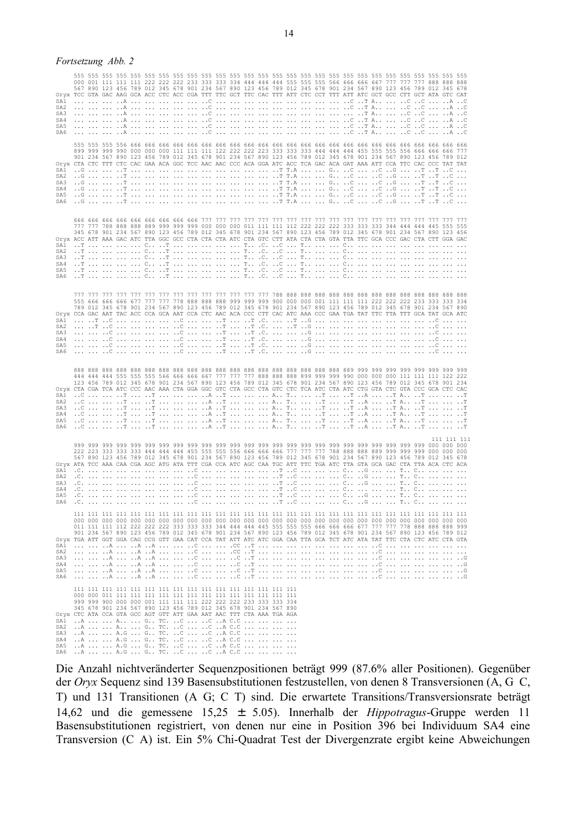#### *Fortsetzung Abb. 2*

| Oryx TCC GTA GAC AAG GCA ACC CTC ACC CGA TTT TTC GCT TTC CAC TTT ATT CTC CCT TTT ATT ATC GCT GCC CTT GCT ATA GTC CAT<br>SA1<br>SA <sub>2</sub><br>SA3<br>SA4<br>SA5<br>SA6 |                               |  |  |  |                                                                                                                                                                                                                                                          |  |  |  |  | 555 555 555 555 555 555 555 555 555 555 555 555 555 555 555 555 555 555 555 555 555 555 555 555 555 555 555 555<br>567 890 123 456 789 012 345 678 901 234 567 890 123 456 789 012 345 678 901 234 567 890 123 456 789 012 345 678                                                                                                                   |  |  |  |   |             |
|----------------------------------------------------------------------------------------------------------------------------------------------------------------------------|-------------------------------|--|--|--|----------------------------------------------------------------------------------------------------------------------------------------------------------------------------------------------------------------------------------------------------------|--|--|--|--|------------------------------------------------------------------------------------------------------------------------------------------------------------------------------------------------------------------------------------------------------------------------------------------------------------------------------------------------------|--|--|--|---|-------------|
| Oryx CTA CTC TTT CTC CAC GAA ACA GGC TCC AAC AAC CCC ACA GGA ATC ACC TCA GAC ACA GAT AAA ATT CCA TTC CAC CCC TAT TAT<br>SA1<br>SA <sub>2</sub><br>SA3<br>SA4<br>SA5<br>SA6 |                               |  |  |  |                                                                                                                                                                                                                                                          |  |  |  |  | 901 234 567 890 123 456 789 012 345 678 901 234 567 890 123 456 789 012 345 678 901 234 567 890 123 456 789 012                                                                                                                                                                                                                                      |  |  |  |   |             |
| Oryx ACC ATT AAA GAC ATC TTA GGC GCC CTA CTA CTA ATC CTA GTC CTT ATA CTA CTA GTA TTA TTC GCA CCC GAC CTA CTT GGA GAC<br>SA1<br>SA2<br>SA3<br>SA4<br>SA5<br>SA6             |                               |  |  |  |                                                                                                                                                                                                                                                          |  |  |  |  | 345 678 901 234 567 890 123 456 789 012 345 678 901 234 567 890 123 456 789 012 345 678 901 234 567 890 123 456                                                                                                                                                                                                                                      |  |  |  |   |             |
| Oryx CCA GAC AAT TAC ACC CCA GCA AAT CCA CTC AAC ACA CCC CTT CAC ATC AAA CCC GAA TGA TAT TTC TTA TTT GCA TAT GCA ATC<br>SA1<br>SA <sub>2</sub><br>SA3<br>SA4<br>SA5<br>SA6 |                               |  |  |  |                                                                                                                                                                                                                                                          |  |  |  |  | 777 777 777 777 777 777 777 777 777 777 777 777 777 788 888 888 888 888 888 888 888 888 888 888 888 888 888<br>789 012 345 678 901 234 567 890 123 456 789 012 345 678 901 234 567 890 123 456 789 012 345 678 901 234 567 890                                                                                                                       |  |  |  | . |             |
| Oryx CTA CGA TCA ATC CCC AAC AAA CTA GGA GGC GTC CTA GCC CTA GTC CTC TCA ATC CTA ATC CTG GTA CTC GTA CCC GCA CTC CAC<br>SA2<br>SA3<br>SA4<br>SA5<br>SA6                    |                               |  |  |  |                                                                                                                                                                                                                                                          |  |  |  |  | 888 888 888 888 888 888 888 888 888 888 888 888 888 888 888 888 888 888 889 999 999 999 999 999 999 999 999<br>123 456 789 012 345 678 901 234 567 890 123 456 789 012 345 678 901 234 567 890 123 456 789 012 345 678 901 234                                                                                                                       |  |  |  |   |             |
| Oryx ATA TCC AAA CAA CGA AGC ATG ATA TTT CGA CCA ATC AGC CAA TGC ATT TTC TGA ATC TTA GTA GCA GAC CTA TTA ACA CTC ACA<br>SA2<br>SA3<br>SA4<br>SA5<br>SA6                    |                               |  |  |  |                                                                                                                                                                                                                                                          |  |  |  |  | 999 999 999 999 999 999 999 999 999 999 999 999 999 999 999 999 999 999 999 999 999 999 999 999 999 900 000 000<br>567 890 123 456 789 012 345 678 901 234 567 890 123 456 789 012 345 678 901 234 567 890 123 456 789 012 345 678<br>.0.         0                  .                                                                               |  |  |  |   | 111 111 111 |
| Oryx TGA ATT GGT GGA CAG CCG GTT GAA CAT CCA TAT ATT ATC ATC GGA CAA TTA GCA TCT ATC ATA TAT TTC CTA CTC ATC CTA GTA<br>SA1<br>SA2<br>SA3<br>SA4<br>SA5                    |                               |  |  |  |                                                                                                                                                                                                                                                          |  |  |  |  | 111 111 111 111 111 111 111 111 111 111 111 111 111 111 111 111 111 111 111 111 111 111 111 111 111 111 111 11<br>000 000 000 000 000 000 000 000 000 000 000 000 000 000 000 000 000 000 000 000 000 000 000 000 000 000 000 000<br>901 234 567 890 123 456 789 012 345 678 901 234 567 890 123 456 789 012 345 678 901 234 567 890 123 456 789 012 |  |  |  |   |             |
| Oryx CTC ATA CCA GTA GCC AGT GTT ATT GAA AAT AAC TTT CTA AAA TGA AGA<br>SA1<br>SA2<br>SA3<br>SA4<br>SA5                                                                    | SA6 A   A.G  G TC. C  C A C.C |  |  |  | 111 111 111 111 111 111 111 111 111 111 111 111 111 111 111 111 111<br>345 678 901 234 567 890 123 456 789 012 345 678 901 234 567 890<br>A   A  G TC. C  C A C.C<br>A   A.G  G TC. C  C A C.C<br>A   A.G  G TC. C  C A C.C<br>A   A.G  G TC. C  C A C.C |  |  |  |  |                                                                                                                                                                                                                                                                                                                                                      |  |  |  |   |             |

Die Anzahl nichtveränderter Sequenzpositionen beträgt 999 (87.6% aller Positionen). Gegenüber der *Oryx* Sequenz sind 139 Basensubstitutionen festzustellen, von denen 8 Transversionen (A, G C, T) und 131 Transitionen (A G; C T) sind. Die erwartete Transitions/Transversionsrate beträgt 14,62 und die gemessene 15,25 ± 5.05). Innerhalb der *Hippotragus*-Gruppe werden 11 Basensubstitutionen registriert, von denen nur eine in Position 396 bei Individuum SA4 eine Transversion (C A) ist. Ein 5% Chi-Quadrat Test der Divergenzrate ergibt keine Abweichungen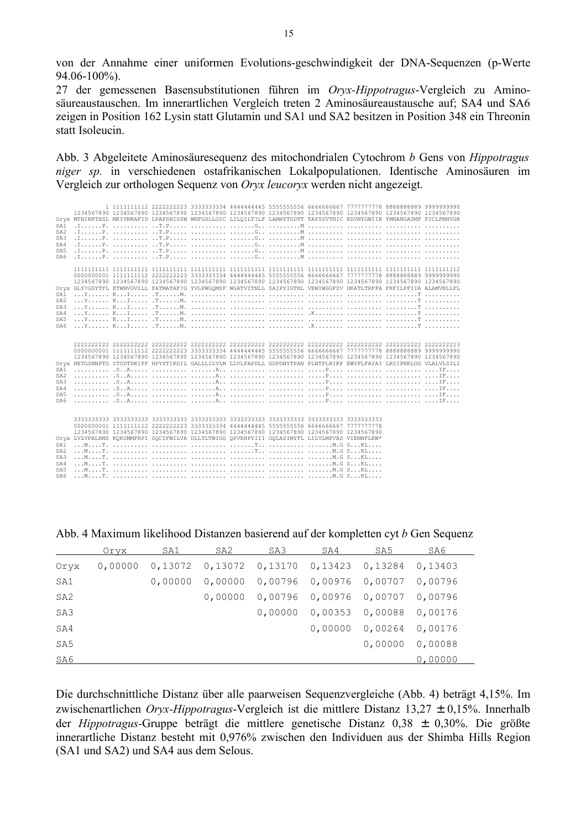von der Annahme einer uniformen Evolutions-geschwindigkeit der DNA-Sequenzen (p-Werte 94.06-100%).

27 der gemessenen Basensubstitutionen führen im *Oryx-Hippotragus*-Vergleich zu Aminosäureaustauschen. Im innerartlichen Vergleich treten 2 Aminosäureaustausche auf; SA4 und SA6 zeigen in Position 162 Lysin statt Glutamin und SA1 und SA2 besitzen in Position 348 ein Threonin statt Isoleucin.

Abb. 3 Abgeleitete Aminosäuresequenz des mitochondrialen Cytochrom *b* Gens von *Hippotragus niger sp.* in verschiedenen ostafrikanischen Lokalpopulationen. Identische Aminosäuren im Vergleich zur orthologen Sequenz von *Oryx leucoryx* werden nicht angezeigt.

| SA <sub>1</sub><br>SA <sub>2</sub><br>SA3<br>SA4<br>SA5<br>SA6             | 1 1111111112 2222222223 3333333334 4444444445 5555555556 6666666667 7777777778 8888888889 9999999990<br>1234567890 1234567890 1234567890 1234567890 1234567890 1234567890 1234567890 1234567890 1234567890 1234567890<br>Oryx MTNIRKTHSL MKIVNNAFID LPAPSNISSW WNFGSLLGIC LILQILT?LF LAMHYTSDTT TAFSSVTHIC RDVNYGWIIR YMHANGASMF FICLFMHVGR                                                                                                                                                                                                 |  |  |  |  |
|----------------------------------------------------------------------------|---------------------------------------------------------------------------------------------------------------------------------------------------------------------------------------------------------------------------------------------------------------------------------------------------------------------------------------------------------------------------------------------------------------------------------------------------------------------------------------------------------------------------------------------|--|--|--|--|
| SA1<br>SA <sub>2</sub><br>SA3<br>SA4<br>SA <sub>5</sub><br>SA6             | 1234567890 1234567890 1234567890 1234567890 1234567890 1234567890 1234567890 1234567890 1234567890 1234567890<br>Orvx GLY?GSYTFL ETWNVGVILL FATMATAF?G YVLPWGOMSF WGATVITNLL SAIPYIGTNL VEWIWGGFSV DKATLTRFFA FHFILPFIIA ALAMVHLLFL                                                                                                                                                                                                                                                                                                         |  |  |  |  |
| SA1<br>SA <sub>2</sub><br>SA3<br>SA4<br>SA <sub>5</sub><br>SA6             | 0000000001 1111111112 222222223 333333334 4444444445 5555555556 6666666667 7777777778 8888888889 9999999990<br>1234567890 1234567890 1234567890 1234567890 1234567890 1234567890 1234567890 1234567890 1234567890 1234567890<br>Orvx HETGSNNPTG ITSDTDKIPF HPYYTIKDIL GALLLILVLM LLVLFAPDLL GDPDNYTPAN PLNTPLHIKP EWYFLFAYAI LRSIPNKLGG VLALVLSILI                                                                                                                                                                                          |  |  |  |  |
| SA1<br>SA <sub>2</sub><br>SA <sub>3</sub><br>SA4<br>SA <sub>5</sub><br>SA6 | 1234567890 1234567890 1234567890 1234567890 1234567890 1234567890 1234567890 1234567890<br>Orvx LVLVPALHMS KORSMMFRPI SOCIFWILVA DLLTLTWIGG OPVEHPYIII GOLASIMYFL LILVLMPVAS VIENNFLKW*<br>$\ldots$ M $\ldots$ T $\ldots$ $\ldots$ $\ldots$ $\ldots$ $\ldots$ $\ldots$ $\ldots$ $\ldots$ $\ldots$ $\ldots$ $\ldots$ $\ldots$ $\ldots$ $\ldots$ $\ldots$ $\ldots$ $\ldots$ $\ldots$ $\ldots$ $\ldots$ $\ldots$ $\ldots$ $\ldots$ $\ldots$ $\ldots$ $\ldots$ $\ldots$ $\ldots$ $\ldots$ $\ldots$ $\ldots$ $\ldots$ $\ldots$ $\ldots$ $\ldots$ |  |  |  |  |

Abb. 4 Maximum likelihood Distanzen basierend auf der kompletten cyt *b* Gen Sequenz

|      | Orvx    | SA1     | SA2 | SA3                                               | SA4                     | SA5             | SA6     |
|------|---------|---------|-----|---------------------------------------------------|-------------------------|-----------------|---------|
| Oryx | 0,00000 |         |     | $0,13072$ 0,13072 0,13170 0,13423 0,13284 0,13403 |                         |                 |         |
| SA1  |         | 0,00000 |     |                                                   |                         |                 | 0,00796 |
| SA2  |         |         |     | 0,00000 0,00796 0,00976 0,00707                   |                         |                 | 0,00796 |
| SA3  |         |         |     |                                                   | 0,00000 0,00353 0,00088 |                 | 0,00176 |
| SA4  |         |         |     |                                                   | 0,00000                 | 0,00264         | 0,00176 |
| SA5  |         |         |     |                                                   |                         | 0,00000 0,00088 |         |
| SA6  |         |         |     |                                                   |                         |                 | 0,00000 |

Die durchschnittliche Distanz über alle paarweisen Sequenzvergleiche (Abb. 4) beträgt 4,15%. Im zwischenartlichen *Oryx-Hippotragus*-Vergleich ist die mittlere Distanz 13,27 ± 0,15%. Innerhalb der *Hippotragus-*Gruppe beträgt die mittlere genetische Distanz 0,38 ± 0,30%. Die größte innerartliche Distanz besteht mit 0,976% zwischen den Individuen aus der Shimba Hills Region (SA1 und SA2) und SA4 aus dem Selous.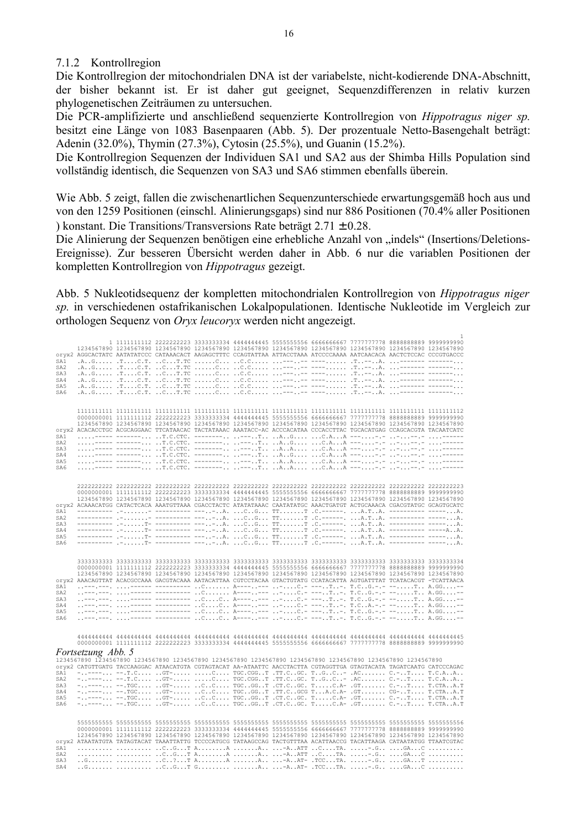#### 7.1.2 Kontrollregion

Die Kontrollregion der mitochondrialen DNA ist der variabelste, nicht-kodierende DNA-Abschnitt, der bisher bekannt ist. Er ist daher gut geeignet, Sequenzdifferenzen in relativ kurzen phylogenetischen Zeiträumen zu untersuchen.

Die PCR-amplifizierte und anschließend sequenzierte Kontrollregion von *Hippotragus niger sp.* besitzt eine Länge von 1083 Basenpaaren (Abb. 5). Der prozentuale Netto-Basengehalt beträgt: Adenin (32.0%), Thymin (27.3%), Cytosin (25.5%), und Guanin (15.2%).

Die Kontrollregion Sequenzen der Individuen SA1 und SA2 aus der Shimba Hills Population sind vollständig identisch, die Sequenzen von SA3 und SA6 stimmen ebenfalls überein.

Wie Abb. 5 zeigt, fallen die zwischenartlichen Sequenzunterschiede erwartungsgemäß hoch aus und von den 1259 Positionen (einschl. Alinierungsgaps) sind nur 886 Positionen (70.4% aller Positionen ) konstant. Die Transitions/Transversions Rate beträgt 2.71 ± 0.28.

Die Alinierung der Sequenzen benötigen eine erhebliche Anzahl von "indels" (Insertions/Deletions-Ereignisse). Zur besseren Übersicht werden daher in Abb. 6 nur die variablen Positionen der kompletten Kontrollregion von *Hippotragus* gezeigt.

Abb. 5 Nukleotidsequenz der kompletten mitochondrialen Kontrollregion von *Hippotragus niger sp.* in verschiedenen ostafrikanischen Lokalpopulationen. Identische Nukleotide im Vergleich zur orthologen Sequenz von *Oryx leucoryx* werden nicht angezeigt.

| SA1<br>SA <sub>2</sub><br>SA3<br>SA4<br>SA5<br>SA6 |                    |  |  |  | 1 1111111112 2222222223 3333333334 4444444445 5555555556 6666666667 7777777778 8888888889 9999999990<br>1234567890 1234567890 1234567890 1234567890 1234567890 1234567890 1234567890 1234567890 1234567890 1234567890<br>oryx2 AGGCACTATC AATATATCCC CATAAACACT AAGAGCTTTC CCAGTATTAA ATTACCTAAA ATCCCCAAAA AATCAACACA AACTCTCCAC CCCGTGACCC                                                                                                                                                                                                                                                                                      |  |
|----------------------------------------------------|--------------------|--|--|--|-----------------------------------------------------------------------------------------------------------------------------------------------------------------------------------------------------------------------------------------------------------------------------------------------------------------------------------------------------------------------------------------------------------------------------------------------------------------------------------------------------------------------------------------------------------------------------------------------------------------------------------|--|
| SA1<br>SA <sub>2</sub><br>SA3<br>SA4<br>SA5<br>SA6 |                    |  |  |  | 0000000001 1111111112 2222222223 3333333334 4444444445 5555555556 6666666667 777777778 8888888889 9999999990<br>1234567890 1234567890 1234567890 1234567890 1234567890 1234567890 1234567890 1234567890 1234567890 1234567890<br>oryx2 ACACACCTGC ACGCAGGAAC TTCATAACAC TACTATAAAC AAATACC-AC ACCCACATAA CCCACCTTAC TGCACATGAG CCAGCACGTA TACAATCATC<br>----- ------- T.C.CTC. -------- ---T AG C.AA ----.- ------ .<br>----- -------- .T.C.CTC. -------- ---T AG C.AA ----.- ---.- ------<br>----- ------- T.C.CTC. -------- ---T AA C.AA ----.- --.- ------<br>----- ------- T.C.CTC. -------- ---T AA C.AA ----.- ---.- ------ |  |
| SA1<br>SA <sub>2</sub><br>SA3<br>SA4<br>SA5<br>SA6 |                    |  |  |  | 0000000001 1111111112 2222222223 3333333334 4444444445 5555555556 6666666667 777777778 8888888889 9999999990<br>1234567890 1234567890 1234567890 1234567890 1234567890 1234567890 1234567890 1234567890 1234567890 1234567890<br>OTYX2 ACAAACATGG CATACTCACA AAATGTTAAA CGACCTACTC ATATATAAAC CAATATATGC AAACTGATGT ACTGCAAACA CGACGTATGC GCAGTGCATC                                                                                                                                                                                                                                                                              |  |
| SA1<br>SA2<br>SA3<br>SA4<br>SA5<br>SA6             |                    |  |  |  | 0000000001 1111111112 2222222223 3333333334 4444444445 5555555556 6666666667 777777778 8888888889 9999999990<br>1234567890 1234567890 1234567890 1234567890 1234567890 1234567890 1234567890 1234567890 1234567890 1234567890<br>oryx2 AAACAGTTAT ACACGCCAAA GACGTACAAA AATACATTAA CGTCCTACAA GTACTGTATG CCATACATTA AGTGATTTAT TCATACACGT -TCATTAACA<br>---.---. ------ ---------- C A------- -C.- ---T-. T.CG.-.- --T A.GG--<br>---.---. ------ ---------- C A------- -C.- ---T-. T.CG.-.- --T A.GG--                                                                                                                            |  |
|                                                    | Fortsetzung Abb. 5 |  |  |  | 0000000001 1111111112 2222222223 3333333334 4444444445 5555555556 6666666667 777777778 8888888889 9999999990<br>1234567890 1234567890 1234567890 1234567890 1234567890 1234567890 1234567890 1234567890 1234567890 1234567890<br>oryx2 CATGTTGATG TACCAAGGAC ATAACATGTA CGTAGTACAT AA-ATAATTC AACCTACTTA CGTAGGTTGA GTAGTACATA TAGATCAATG CATCCCAGAC                                                                                                                                                                                                                                                                              |  |
| SA1<br>SA2<br>SA3<br>SA4<br>SA5<br>SA6             |                    |  |  |  | ---- --.T.C GT- C TGC.CGGT .TT.CGC. TGC- .AC C.-T T.C.AA<br>----- --.TGC GT- CC TGCGG.IT .CT.CGC. TCA- .GT C <sub>1</sub> -T T.CTAA.T<br>"---- --.TGC GT- CC TGCGGT .TT.CGCG TA.C.A- .GT CG-T T.CTAA.T<br>T.C.---- --.TCC GT- CC TGCGGT .CT.CGC. TC.A- .GT C.-T T.CTAA.T<br>T.C.T T.C.T .GT- .GT .CC TGCGGT .CT.CGC. TC.A- .GT C.-T T.CTAA.T                                                                                                                                                                                                                                                                                      |  |
| SA1<br>SA <sub>2</sub><br>SA3<br>SA4               |                    |  |  |  | 0000000001 1111111112 2222222223 3333333334 4444444445 5555555556 6666666667 777777778 8888888889 9999999990<br>1234567890 1234567890 1234567890 1234567890 1234567890 1234567890 1234567890 1234567890 1234567890 1234567890<br>OYYX2 ATAATATGTA TATAGTACAT TAAATTATTG TCCCCATGCG TATAAGCCAG TACTGTTTAA ACATTAACCG TACATTAAGA CATAATATGG TTAATCGTAC<br>CGT AA A -AATT CTA. -.G GAC<br>CGT AA A -AATT CTA. GGAC<br>G  C?T AA A -AAT- .TCCTA. -.G GAT                                                                                                                                                                              |  |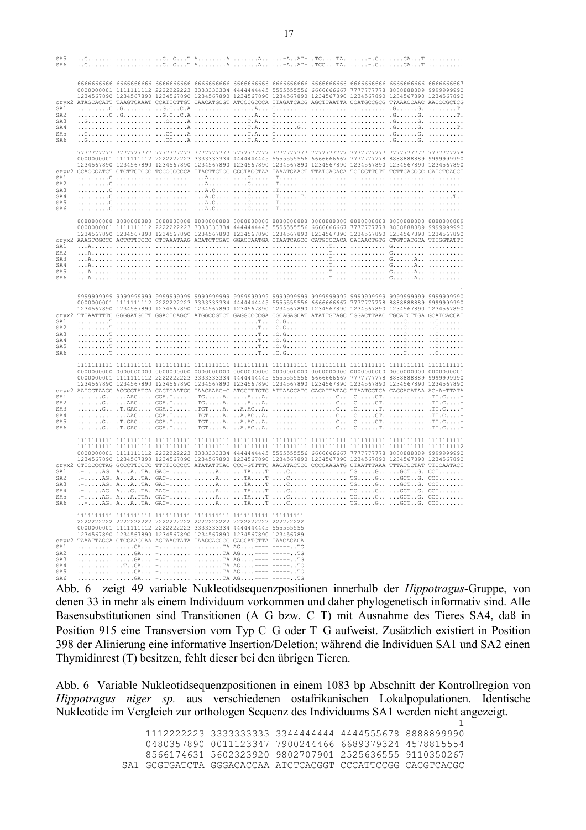| SA5<br>SA6             |  |                                                                        |  |  | G  CGT AA A -AAT- .TCCTA. -.G GAT                                                                                                                                                                                                    |  |
|------------------------|--|------------------------------------------------------------------------|--|--|--------------------------------------------------------------------------------------------------------------------------------------------------------------------------------------------------------------------------------------|--|
| SA1                    |  |                                                                        |  |  | 1234567890 1234567890 1234567890 1234567890 1234567890 1234567890 1234567890 1234567890 1234567890 1234567890<br>oryx2 ATAGCACATT TAAGTCAAAT CCATTCTTGT CAACATGCGT ATCCCGCCCA TTAGATCACG AGCTTAATTA CCATGCCGCG T?AAACCAAC AACCCGCTCG |  |
| SA <sub>2</sub>        |  |                                                                        |  |  |                                                                                                                                                                                                                                      |  |
| SA3                    |  |                                                                        |  |  |                                                                                                                                                                                                                                      |  |
| SA4<br>SA5             |  |                                                                        |  |  |                                                                                                                                                                                                                                      |  |
| SA6                    |  |                                                                        |  |  |                                                                                                                                                                                                                                      |  |
|                        |  |                                                                        |  |  | 8רדרדרדרדר ררדרדרדרד ררדרדרדרדר ררדרדרדר רדרדרדרדר ררדרדרדר רדרדרדרד רדרדרדר ררדרדרדרד רדרדרדרדר רדרדרדרדר                                                                                                                           |  |
|                        |  |                                                                        |  |  |                                                                                                                                                                                                                                      |  |
|                        |  |                                                                        |  |  | 1234567890 1234567890 1234567890 1234567890 1234567890 1234567890 1234567890 1234567890 1234567890 1234567890                                                                                                                        |  |
| SA1                    |  |                                                                        |  |  | oryx2 GCAGGGATCT CTCTTCTCGC TCCGGGCCCA TTACTTGTGG GGGTAGCTAA TAAATGAACT TTATCAGACA TCTGGTTCTT TCTTCAGGGC CATCTCACCT                                                                                                                  |  |
| SA2                    |  |                                                                        |  |  |                                                                                                                                                                                                                                      |  |
| SA3                    |  |                                                                        |  |  |                                                                                                                                                                                                                                      |  |
| SA4                    |  |                                                                        |  |  |                                                                                                                                                                                                                                      |  |
| SA5<br>SA6             |  |                                                                        |  |  |                                                                                                                                                                                                                                      |  |
|                        |  |                                                                        |  |  |                                                                                                                                                                                                                                      |  |
|                        |  |                                                                        |  |  |                                                                                                                                                                                                                                      |  |
|                        |  |                                                                        |  |  | 1234567890 1234567890 1234567890 1234567890 1234567890 1234567890 1234567890 1234567890 1234567890 1234567890                                                                                                                        |  |
| SA1                    |  |                                                                        |  |  | oryx2 AAAGTCGCCC ACTCTTTCCC CTTAAATAAG ACATCTCGAT GGACTAATGA CTAATCAGCC CATGCCCACA CATAACTGTG CTGTCATGCA TTTGGTATTT                                                                                                                  |  |
| SA <sub>2</sub>        |  |                                                                        |  |  |                                                                                                                                                                                                                                      |  |
| SA3                    |  |                                                                        |  |  |                                                                                                                                                                                                                                      |  |
| SA4                    |  |                                                                        |  |  |                                                                                                                                                                                                                                      |  |
| SA5                    |  |                                                                        |  |  |                                                                                                                                                                                                                                      |  |
| SA6                    |  |                                                                        |  |  |                                                                                                                                                                                                                                      |  |
|                        |  |                                                                        |  |  |                                                                                                                                                                                                                                      |  |
|                        |  |                                                                        |  |  |                                                                                                                                                                                                                                      |  |
|                        |  |                                                                        |  |  | 1234567890 1234567890 1234567890 1234567890 1234567890 1234567890 1234567890 1234567890 1234567890 1234567890                                                                                                                        |  |
|                        |  |                                                                        |  |  | oryx2 TTTAATTTTC GGGGATGCTT GGACTCAGCT ATGGCCGTCT GAGGCCCCGA CGCAGAGCAT ATATTGTAGC TGGACTTAAC TGCATCTTGA GCATCACCAT                                                                                                                  |  |
| SA1                    |  |                                                                        |  |  |                                                                                                                                                                                                                                      |  |
| SA2                    |  |                                                                        |  |  |                                                                                                                                                                                                                                      |  |
| SA3                    |  |                                                                        |  |  |                                                                                                                                                                                                                                      |  |
| SA4<br>SA5             |  |                                                                        |  |  |                                                                                                                                                                                                                                      |  |
| SA6                    |  |                                                                        |  |  |                                                                                                                                                                                                                                      |  |
|                        |  |                                                                        |  |  | 0000000001 1111111112 2222222223 3333333334 4444444445 5555555556 6666666667 777777778 8888888889 9999999990<br>1234567890 1234567890 1234567890 1234567890 1234567890 1234567890 1234567890 1234567890 1234567890 1234567890        |  |
|                        |  |                                                                        |  |  | oryx2 AATGGTAAGC ACGCGTATCA CAGTCAATGG TAACAAAG-C ATGGTTTGTC ATTAAGCATG GACATTATAG TTAATGGTCA CAGGACATAA AC-A-TTATA                                                                                                                  |  |
| SA1                    |  |                                                                        |  |  |                                                                                                                                                                                                                                      |  |
| SA <sub>2</sub><br>SA3 |  |                                                                        |  |  |                                                                                                                                                                                                                                      |  |
| SA4                    |  |                                                                        |  |  |                                                                                                                                                                                                                                      |  |
| SA5                    |  |                                                                        |  |  |                                                                                                                                                                                                                                      |  |
| SA6                    |  |                                                                        |  |  |                                                                                                                                                                                                                                      |  |
|                        |  |                                                                        |  |  |                                                                                                                                                                                                                                      |  |
|                        |  |                                                                        |  |  |                                                                                                                                                                                                                                      |  |
|                        |  |                                                                        |  |  | 0000000001 11111111112 2222222223 3333333334 4444444445 5555555556 6666666667 777777778 8888888889 9999999990                                                                                                                        |  |
|                        |  |                                                                        |  |  | 1234567890 1234567890 1234567890 1234567890 1234567890 1234567890 1234567890 1234567890 1234567890 1234567890<br>oryx2 CTTCCCCTAG GCCCTTCCTC TTTTCCCCCT ATATATTTAC CCC-GTTTTC AACATACTCC CCCCAAGATG CTAATTTAAA TTTATCCTAT TTCCAATACT |  |
| SA1                    |  |                                                                        |  |  |                                                                                                                                                                                                                                      |  |
| SA <sub>2</sub>        |  |                                                                        |  |  |                                                                                                                                                                                                                                      |  |
| SA3                    |  |                                                                        |  |  |                                                                                                                                                                                                                                      |  |
| SA4                    |  |                                                                        |  |  |                                                                                                                                                                                                                                      |  |
| SA5<br>SA6             |  | $ AG. AA. TTA. GAC A$ $TA$ $TC$                                        |  |  | TGG GCTG. CCT                                                                                                                                                                                                                        |  |
|                        |  |                                                                        |  |  |                                                                                                                                                                                                                                      |  |
|                        |  |                                                                        |  |  |                                                                                                                                                                                                                                      |  |
|                        |  | 0000000001 11111111112 2222222223 3333333334 4444444445 555555555      |  |  |                                                                                                                                                                                                                                      |  |
|                        |  | 1234567890 1234567890 1234567890 1234567890 1234567890 123456789       |  |  |                                                                                                                                                                                                                                      |  |
|                        |  | Oryx2 TAAATTAGCA CTCCAAGCAA AGTAAGTATA TAAGCACCCG GACCATCTTA TAACACACA |  |  |                                                                                                                                                                                                                                      |  |
| SA1                    |  | GA - TA AG---- ------TG                                                |  |  |                                                                                                                                                                                                                                      |  |
| SA2                    |  | GA - TA AG---- ------TG                                                |  |  |                                                                                                                                                                                                                                      |  |
| SA3<br>SA4             |  | GA - TA AG---- -----TG<br>TGA - TA AG---- ------TG                     |  |  |                                                                                                                                                                                                                                      |  |
| SA5                    |  | GA - TA AG---- ------TG                                                |  |  |                                                                                                                                                                                                                                      |  |
| SA6                    |  | GA - TA AG---- ------TG                                                |  |  |                                                                                                                                                                                                                                      |  |

Abb. 6 zeigt 49 variable Nukleotidsequenzpositionen innerhalb der *Hippotragus-*Gruppe, von denen 33 in mehr als einem Individuum vorkommen und daher phylogenetisch informativ sind. Alle Basensubstitutionen sind Transitionen (A G bzw. C T) mit Ausnahme des Tieres SA4, daß in Position 915 eine Transversion vom Typ C G oder T G aufweist. Zusätzlich existiert in Position 398 der Alinierung eine informative Insertion/Deletion; während die Individuen SA1 und SA2 einen Thymidinrest (T) besitzen, fehlt dieser bei den übrigen Tieren.

Abb. 6 Variable Nukleotidsequenzpositionen in einem 1083 bp Abschnitt der Kontrollregion von *Hippotragus niger sp.* aus verschiedenen ostafrikanischen Lokalpopulationen. Identische Nukleotide im Vergleich zur orthologen Sequenz des Individuums SA1 werden nicht angezeigt.

> 1 1112222223 3333333333 3344444444 4444555678 8888899990 0480357890 0011123347 7900244466 6689379324 4578815554 8566174631 5602323920 9802707901 2525636555 9110350267 SA1 GCGTGATCTA GGGACACCAA ATCTCACGGT CCCATTCCGG CACGTCACGC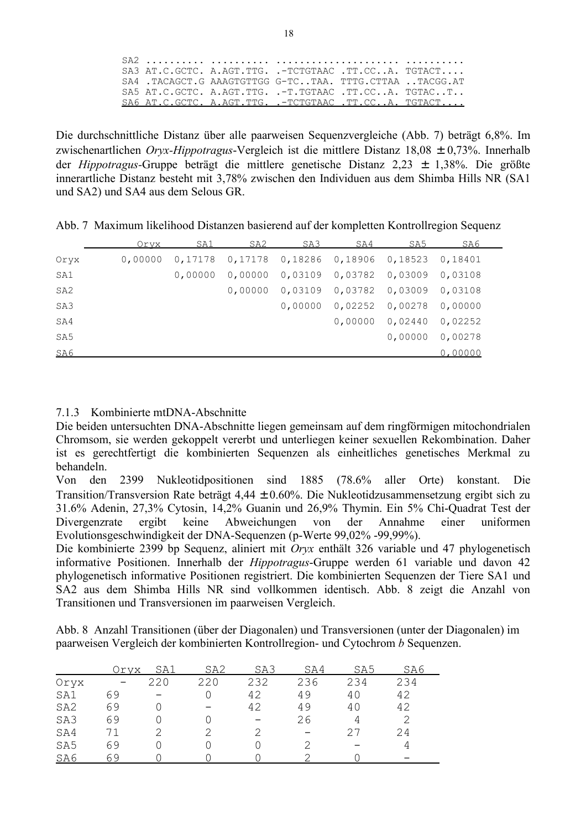|  | SA3 AT.C.GCTC. A.AGT.TTG. .-TCTGTAAC .TT.CCA. TGTACT     |  |                                                                                |
|--|----------------------------------------------------------|--|--------------------------------------------------------------------------------|
|  | SA4, TACAGCT.G AAAGTGTTGG G-TCTAA. TTTG.CTTAA, .TACGG.AT |  |                                                                                |
|  |                                                          |  | $SAS$ $AT.C.GCTC$ . $A.AGT.TTG$ . $-T.TGTAAC$ $.TT.CC$ . $A$ . $TGTAC$ . $T$ . |
|  |                                                          |  | SA6 AT.C.GCTC. A.AGT.TTG. .-TCTGTAAC .TT.CCA. TGTACT                           |

Die durchschnittliche Distanz über alle paarweisen Sequenzvergleiche (Abb. 7) beträgt 6,8%. Im zwischenartlichen *Oryx-Hippotragus*-Vergleich ist die mittlere Distanz 18,08 ± 0,73%. Innerhalb der *Hippotragus-*Gruppe beträgt die mittlere genetische Distanz 2,23 ± 1,38%. Die größte innerartliche Distanz besteht mit 3,78% zwischen den Individuen aus dem Shimba Hills NR (SA1 und SA2) und SA4 aus dem Selous GR.

Abb. 7 Maximum likelihood Distanzen basierend auf der kompletten Kontrollregion Sequenz

|                 | Orvx    | SA1     | SA2     | SA3                                | SA4               | SA5                                         | SA6     |  |
|-----------------|---------|---------|---------|------------------------------------|-------------------|---------------------------------------------|---------|--|
| Oryx            | 0,00000 | 0,17178 |         |                                    |                   | 0,17178  0,18286  0,18906  0,18523  0,18401 |         |  |
| SA1             |         | 0,00000 |         | 0,00000  0,03109  0,03782  0,03009 |                   |                                             | 0,03108 |  |
| SA <sub>2</sub> |         |         | 0.00000 | 0,03109  0,03782  0,03009          |                   |                                             | 0,03108 |  |
| SA3             |         |         |         | 0,00000                            | $0,02252$ 0,00278 |                                             | 0,00000 |  |
| SA4             |         |         |         |                                    | 0.00000           | 0,02440                                     | 0,02252 |  |
| SA5             |         |         |         |                                    |                   | 0,00000                                     | 0,00278 |  |
| SA6             |         |         |         |                                    |                   |                                             | 0,00000 |  |

### 7.1.3 Kombinierte mtDNA-Abschnitte

Die beiden untersuchten DNA-Abschnitte liegen gemeinsam auf dem ringförmigen mitochondrialen Chromsom, sie werden gekoppelt vererbt und unterliegen keiner sexuellen Rekombination. Daher ist es gerechtfertigt die kombinierten Sequenzen als einheitliches genetisches Merkmal zu behandeln.

Von den 2399 Nukleotidpositionen sind 1885 (78.6% aller Orte) konstant. Die Transition/Transversion Rate beträgt 4,44 ± 0.60%. Die Nukleotidzusammensetzung ergibt sich zu 31.6% Adenin, 27,3% Cytosin, 14,2% Guanin und 26,9% Thymin. Ein 5% Chi-Quadrat Test der Divergenzrate ergibt keine Abweichungen von der Annahme einer uniformen Evolutionsgeschwindigkeit der DNA-Sequenzen (p-Werte 99,02% -99,99%).

Die kombinierte 2399 bp Sequenz, aliniert mit *Oryx* enthält 326 variable und 47 phylogenetisch informative Positionen. Innerhalb der *Hippotragus*-Gruppe werden 61 variable und davon 42 phylogenetisch informative Positionen registriert. Die kombinierten Sequenzen der Tiere SA1 und SA2 aus dem Shimba Hills NR sind vollkommen identisch. Abb. 8 zeigt die Anzahl von Transitionen und Transversionen im paarweisen Vergleich.

Abb. 8 Anzahl Transitionen (über der Diagonalen) und Transversionen (unter der Diagonalen) im paarweisen Vergleich der kombinierten Kontrollregion- und Cytochrom *b* Sequenzen.

|                 | Orvx | SA1 | SA <sub>2</sub> | SA3 | SA4 | SA5 | SA6 |
|-----------------|------|-----|-----------------|-----|-----|-----|-----|
| Oryx            |      | 220 | 220             | 232 | 236 | 234 | 234 |
| SA1             | 69   |     |                 | 42  | 49  | 40  | 42  |
| SA <sub>2</sub> | 69   |     |                 | 42  | 49  | 40  | 42  |
| SA3             | 69   |     |                 |     | 26  |     |     |
| SA4             |      |     |                 |     |     | 27  | 24  |
| SA <sub>5</sub> | 69   |     |                 |     |     |     |     |
| SA6             | 69   |     |                 |     |     |     |     |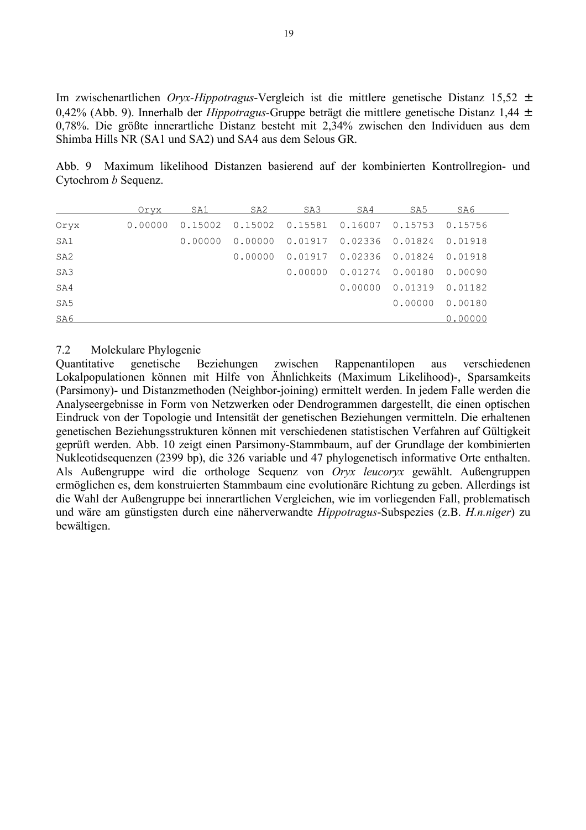Im zwischenartlichen *Oryx-Hippotragus*-Vergleich ist die mittlere genetische Distanz 15,52 ± 0,42% (Abb. 9). Innerhalb der *Hippotragus-*Gruppe beträgt die mittlere genetische Distanz 1,44 ± 0,78%. Die größte innerartliche Distanz besteht mit 2,34% zwischen den Individuen aus dem Shimba Hills NR (SA1 und SA2) und SA4 aus dem Selous GR.

Abb. 9 Maximum likelihood Distanzen basierend auf der kombinierten Kontrollregion- und Cytochrom *b* Sequenz.

|                 | Oryx    | SA1     | SA2     | SA3             | SA4                           | SA5     | SA6     |
|-----------------|---------|---------|---------|-----------------|-------------------------------|---------|---------|
| Oryx            | 0.00000 | 0.15002 | 0.15002 |                 | $0.15581$ $0.16007$ $0.15753$ |         | 0.15756 |
| SA1             |         | 0.00000 | 0.00000 | 0.01917 0.02336 |                               | 0.01824 | 0.01918 |
| SA <sub>2</sub> |         |         | 0.00000 | 0.01917         | 0.02336                       | 0.01824 | 0.01918 |
| SA <sub>3</sub> |         |         |         | 0.00000         | 0.01274                       | 0.00180 | 0.00090 |
| SA4             |         |         |         |                 | 0.00000                       | 0.01319 | 0.01182 |
| SA <sub>5</sub> |         |         |         |                 |                               | 0.00000 | 0.00180 |
| SA6             |         |         |         |                 |                               |         | 0.00000 |

#### 7.2 Molekulare Phylogenie

Quantitative genetische Beziehungen zwischen Rappenantilopen aus verschiedenen Lokalpopulationen können mit Hilfe von Ähnlichkeits (Maximum Likelihood)-, Sparsamkeits (Parsimony)- und Distanzmethoden (Neighbor-joining) ermittelt werden. In jedem Falle werden die Analyseergebnisse in Form von Netzwerken oder Dendrogrammen dargestellt, die einen optischen Eindruck von der Topologie und Intensität der genetischen Beziehungen vermitteln. Die erhaltenen genetischen Beziehungsstrukturen können mit verschiedenen statistischen Verfahren auf Gültigkeit geprüft werden. Abb. 10 zeigt einen Parsimony-Stammbaum, auf der Grundlage der kombinierten Nukleotidsequenzen (2399 bp), die 326 variable und 47 phylogenetisch informative Orte enthalten. Als Außengruppe wird die orthologe Sequenz von *Oryx leucoryx* gewählt. Außengruppen ermöglichen es, dem konstruierten Stammbaum eine evolutionäre Richtung zu geben. Allerdings ist die Wahl der Außengruppe bei innerartlichen Vergleichen, wie im vorliegenden Fall, problematisch und wäre am günstigsten durch eine näherverwandte *Hippotragus*-Subspezies (z.B. *H.n.niger*) zu bewältigen.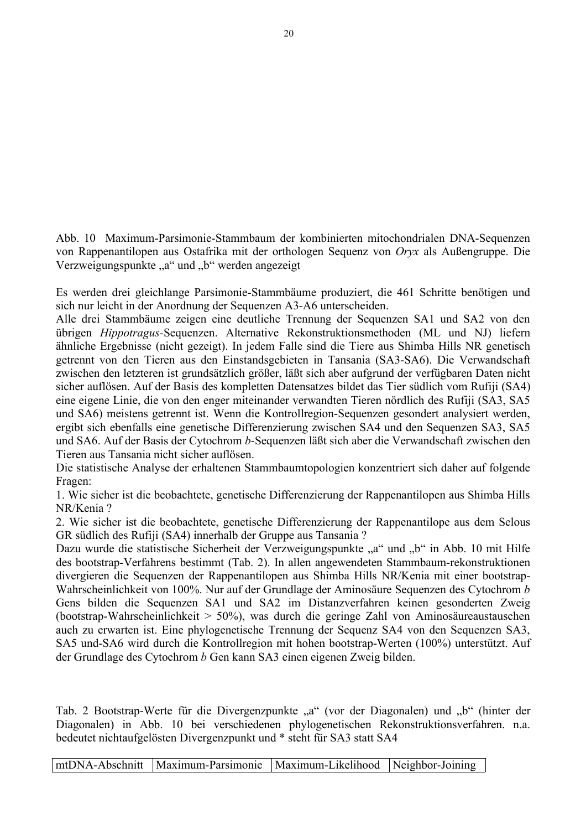Abb. 10 Maximum-Parsimonie-Stammbaum der kombinierten mitochondrialen DNA-Sequenzen von Rappenantilopen aus Ostafrika mit der orthologen Sequenz von *Oryx* als Außengruppe. Die Verzweigungspunkte "a" und "b" werden angezeigt

Es werden drei gleichlange Parsimonie-Stammbäume produziert, die 461 Schritte benötigen und sich nur leicht in der Anordnung der Sequenzen A3-A6 unterscheiden.

Alle drei Stammbäume zeigen eine deutliche Trennung der Sequenzen SA1 und SA2 von den übrigen *Hippotragus-*Sequenzen. Alternative Rekonstruktionsmethoden (ML und NJ) liefern ähnliche Ergebnisse (nicht gezeigt). In jedem Falle sind die Tiere aus Shimba Hills NR genetisch getrennt von den Tieren aus den Einstandsgebieten in Tansania (SA3-SA6). Die Verwandschaft zwischen den letzteren ist grundsätzlich größer, läßt sich aber aufgrund der verfügbaren Daten nicht sicher auflösen. Auf der Basis des kompletten Datensatzes bildet das Tier südlich vom Rufiji (SA4) eine eigene Linie, die von den enger miteinander verwandten Tieren nördlich des Rufiji (SA3, SA5 und SA6) meistens getrennt ist. Wenn die Kontrollregion-Sequenzen gesondert analysiert werden, ergibt sich ebenfalls eine genetische Differenzierung zwischen SA4 und den Sequenzen SA3, SA5 und SA6. Auf der Basis der Cytochrom *b*-Sequenzen läßt sich aber die Verwandschaft zwischen den Tieren aus Tansania nicht sicher auflösen.

Die statistische Analyse der erhaltenen Stammbaumtopologien konzentriert sich daher auf folgende Fragen:

1. Wie sicher ist die beobachtete, genetische Differenzierung der Rappenantilopen aus Shimba Hills NR/Kenia ?

2. Wie sicher ist die beobachtete, genetische Differenzierung der Rappenantilope aus dem Selous GR südlich des Rufiji (SA4) innerhalb der Gruppe aus Tansania ?

Dazu wurde die statistische Sicherheit der Verzweigungspunkte "a" und "b" in Abb. 10 mit Hilfe des bootstrap-Verfahrens bestimmt (Tab. 2). In allen angewendeten Stammbaum-rekonstruktionen divergieren die Sequenzen der Rappenantilopen aus Shimba Hills NR/Kenia mit einer bootstrap-Wahrscheinlichkeit von 100%. Nur auf der Grundlage der Aminosäure Sequenzen des Cytochrom *b* Gens bilden die Sequenzen SA1 und SA2 im Distanzverfahren keinen gesonderten Zweig (bootstrap-Wahrscheinlichkeit > 50%), was durch die geringe Zahl von Aminosäureaustauschen auch zu erwarten ist. Eine phylogenetische Trennung der Sequenz SA4 von den Sequenzen SA3, SA5 und-SA6 wird durch die Kontrollregion mit hohen bootstrap-Werten (100%) unterstützt. Auf der Grundlage des Cytochrom *b* Gen kann SA3 einen eigenen Zweig bilden.

Tab. 2 Bootstrap-Werte für die Divergenzpunkte "a" (vor der Diagonalen) und "b" (hinter der Diagonalen) in Abb. 10 bei verschiedenen phylogenetischen Rekonstruktionsverfahren. n.a. bedeutet nichtaufgelösten Divergenzpunkt und \* steht für SA3 statt SA4

mtDNA-Abschnitt Maximum-Parsimonie Maximum-Likelihood Neighbor-Joining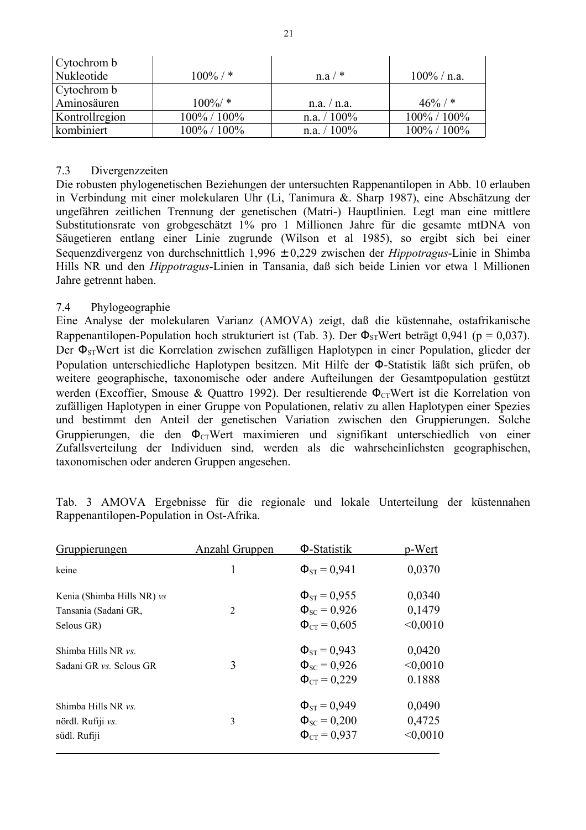| Cytochrom b    |                   |                |                 |
|----------------|-------------------|----------------|-----------------|
| Nukleotide     | $100\%$ / *       | $n.a/$ *       | $100\%$ / n.a.  |
| Cytochrom b    |                   |                |                 |
| Aminosäuren    | $100\%/$ *        | n.a. / n.a.    | $46\%$ / *      |
| Kontrollregion | $100\% / 100\%$   | n.a. $/ 100\%$ | $100\% / 100\%$ |
| kombiniert     | $100\%$ / $100\%$ | n.a. $/ 100\%$ | $100\% / 100\%$ |

## 7.3 Divergenzzeiten

Die robusten phylogenetischen Beziehungen der untersuchten Rappenantilopen in Abb. 10 erlauben in Verbindung mit einer molekularen Uhr (Li, Tanimura &. Sharp 1987), eine Abschätzung der ungefähren zeitlichen Trennung der genetischen (Matri-) Hauptlinien. Legt man eine mittlere Substitutionsrate von grobgeschätzt 1% pro 1 Millionen Jahre für die gesamte mtDNA von Säugetieren entlang einer Linie zugrunde (Wilson et al 1985), so ergibt sich bei einer Sequenzdivergenz von durchschnittlich 1,996 ± 0,229 zwischen der *Hippotragus*-Linie in Shimba Hills NR und den *Hippotragus*-Linien in Tansania, daß sich beide Linien vor etwa 1 Millionen Jahre getrennt haben.

### 7.4 Phylogeographie

Eine Analyse der molekularen Varianz (AMOVA) zeigt, daß die küstennahe, ostafrikanische Rappenantilopen-Population hoch strukturiert ist (Tab. 3). Der  $\Phi_{ST}$ Wert beträgt 0,941 (p = 0,037). Der  $\Phi_{ST}$ Wert ist die Korrelation zwischen zufälligen Haplotypen in einer Population, glieder der Population unterschiedliche Haplotypen besitzen. Mit Hilfe der Φ-Statistik läßt sich prüfen, ob weitere geographische, taxonomische oder andere Aufteilungen der Gesamtpopulation gestützt werden (Excoffier, Smouse & Quattro 1992). Der resultierende  $\Phi_{CT}$ Wert ist die Korrelation von zufälligen Haplotypen in einer Gruppe von Populationen, relativ zu allen Haplotypen einer Spezies und bestimmt den Anteil der genetischen Variation zwischen den Gruppierungen. Solche Gruppierungen, die den  $\Phi_{CT}$ Wert maximieren und signifikant unterschiedlich von einer Zufallsverteilung der Individuen sind, werden als die wahrscheinlichsten geographischen, taxonomischen oder anderen Gruppen angesehen.

| <u>Gruppierungen</u>                                             | <b>Anzahl Gruppen</b> | Φ-Statistik                                                       | p-Wert                       |
|------------------------------------------------------------------|-----------------------|-------------------------------------------------------------------|------------------------------|
| keine                                                            | 1                     | $\Phi_{ST} = 0.941$                                               | 0,0370                       |
| Kenia (Shimba Hills NR) vs<br>Tansania (Sadani GR,<br>Selous GR) | $\overline{2}$        | $\Phi_{ST} = 0.955$<br>$\Phi_{SC} = 0.926$<br>$\Phi_{CT} = 0,605$ | 0,0340<br>0,1479<br>< 0,0010 |
| Shimba Hills NR vs.<br>Sadani GR vs. Selous GR                   | 3                     | $\Phi_{ST} = 0.943$<br>$\Phi_{SC} = 0.926$<br>$\Phi_{CT} = 0.229$ | 0,0420<br>< 0,0010<br>0.1888 |
| Shimba Hills NR vs.<br>nördl. Rufiji vs.<br>südl. Rufiji         | 3                     | $\Phi_{ST} = 0.949$<br>$\Phi_{SC} = 0.200$<br>$\Phi_{CT} = 0.937$ | 0,0490<br>0,4725<br>< 0,0010 |

Tab. 3 AMOVA Ergebnisse für die regionale und lokale Unterteilung der küstennahen Rappenantilopen-Population in Ost-Afrika.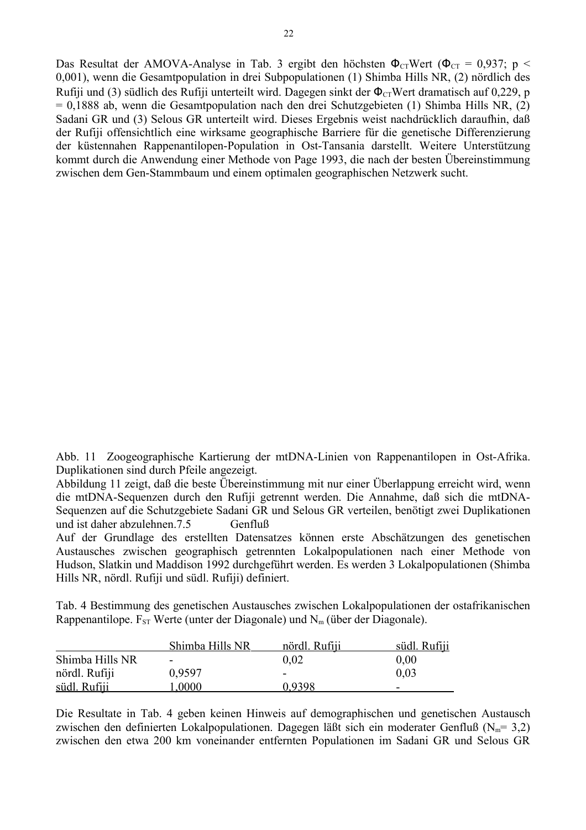Das Resultat der AMOVA-Analyse in Tab. 3 ergibt den höchsten  $\Phi_{CT}$ Wert ( $\Phi_{CT} = 0.937$ ; p < 0,001), wenn die Gesamtpopulation in drei Subpopulationen (1) Shimba Hills NR, (2) nördlich des Rufiji und (3) südlich des Rufiji unterteilt wird. Dagegen sinkt der  $\Phi_{CT}$ Wert dramatisch auf 0,229, p = 0,1888 ab, wenn die Gesamtpopulation nach den drei Schutzgebieten (1) Shimba Hills NR, (2) Sadani GR und (3) Selous GR unterteilt wird. Dieses Ergebnis weist nachdrücklich daraufhin, daß der Rufiji offensichtlich eine wirksame geographische Barriere für die genetische Differenzierung der küstennahen Rappenantilopen-Population in Ost-Tansania darstellt. Weitere Unterstützung kommt durch die Anwendung einer Methode von Page 1993, die nach der besten Übereinstimmung zwischen dem Gen-Stammbaum und einem optimalen geographischen Netzwerk sucht.

Abb. 11 Zoogeographische Kartierung der mtDNA-Linien von Rappenantilopen in Ost-Afrika. Duplikationen sind durch Pfeile angezeigt.

Abbildung 11 zeigt, daß die beste Übereinstimmung mit nur einer Überlappung erreicht wird, wenn die mtDNA-Sequenzen durch den Rufiji getrennt werden. Die Annahme, daß sich die mtDNA-Sequenzen auf die Schutzgebiete Sadani GR und Selous GR verteilen, benötigt zwei Duplikationen und ist daher abzulehnen. 7.5 Genfluß

Auf der Grundlage des erstellten Datensatzes können erste Abschätzungen des genetischen Austausches zwischen geographisch getrennten Lokalpopulationen nach einer Methode von Hudson, Slatkin und Maddison 1992 durchgeführt werden. Es werden 3 Lokalpopulationen (Shimba Hills NR, nördl. Rufiji und südl. Rufiji) definiert.

Tab. 4 Bestimmung des genetischen Austausches zwischen Lokalpopulationen der ostafrikanischen Rappenantilope.  $F_{ST}$  Werte (unter der Diagonale) und  $N_m$  (über der Diagonale).

|                 | Shimba Hills NR          | nördl. Rufiji | südl. Rufiji |
|-----------------|--------------------------|---------------|--------------|
| Shimba Hills NR | $\overline{\phantom{0}}$ | 0.02          | 0.00         |
| nördl. Rufiji   | 0.9597                   | -             | 0.03         |
| südl. Rufiji    | 1.0000                   | 0.9398        | -            |

Die Resultate in Tab. 4 geben keinen Hinweis auf demographischen und genetischen Austausch zwischen den definierten Lokalpopulationen. Dagegen läßt sich ein moderater Genfluß ( $N_m$ = 3,2) zwischen den etwa 200 km voneinander entfernten Populationen im Sadani GR und Selous GR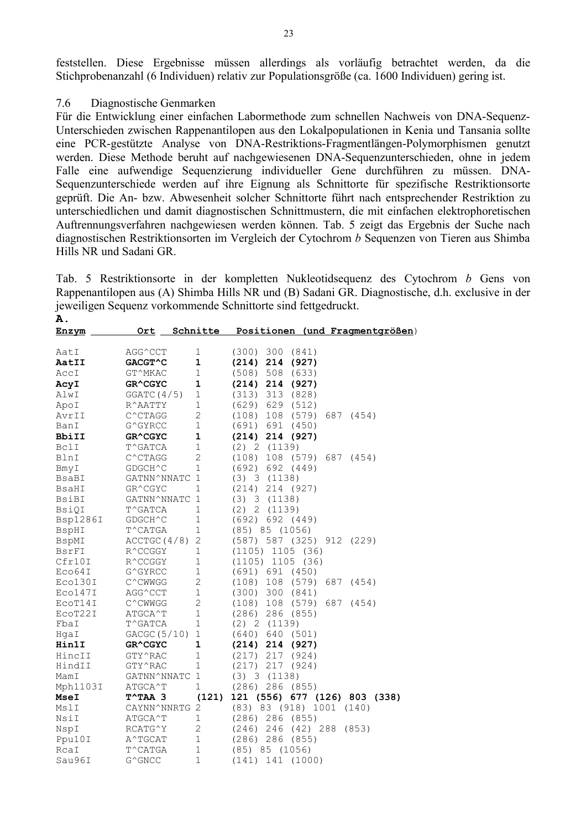feststellen. Diese Ergebnisse müssen allerdings als vorläufig betrachtet werden, da die Stichprobenanzahl (6 Individuen) relativ zur Populationsgröße (ca. 1600 Individuen) gering ist.

#### 7.6 Diagnostische Genmarken

Für die Entwicklung einer einfachen Labormethode zum schnellen Nachweis von DNA-Sequenz-Unterschieden zwischen Rappenantilopen aus den Lokalpopulationen in Kenia und Tansania sollte eine PCR-gestützte Analyse von DNA-Restriktions-Fragmentlängen-Polymorphismen genutzt werden. Diese Methode beruht auf nachgewiesenen DNA-Sequenzunterschieden, ohne in jedem Falle eine aufwendige Sequenzierung individueller Gene durchführen zu müssen. DNA-Sequenzunterschiede werden auf ihre Eignung als Schnittorte für spezifische Restriktionsorte geprüft. Die An- bzw. Abwesenheit solcher Schnittorte führt nach entsprechender Restriktion zu unterschiedlichen und damit diagnostischen Schnittmustern, die mit einfachen elektrophoretischen Auftrennungsverfahren nachgewiesen werden können. Tab. 5 zeigt das Ergebnis der Suche nach diagnostischen Restriktionsorten im Vergleich der Cytochrom *b* Sequenzen von Tieren aus Shimba Hills NR und Sadani GR.

Tab. 5 Restriktionsorte in der kompletten Nukleotidsequenz des Cytochrom *b* Gens von Rappenantilopen aus (A) Shimba Hills NR und (B) Sadani GR. Diagnostische, d.h. exclusive in der jeweiligen Sequenz vorkommende Schnittorte sind fettgedruckt. **A.**

| <u>Enzym</u>    | <u>Ort</u>                | Schnitte       | Positionen (und Fragmentgrößen)     |
|-----------------|---------------------------|----------------|-------------------------------------|
| AatI            | AGG^CCT                   | $\mathbf 1$    | 300<br>(300)<br>(841)               |
| <b>AatII</b>    | GACGT^C                   | $\mathbf{1}$   | $(214)$ 214 $(927)$                 |
| AccI            | GT^MKAC                   | $\mathbf{1}$   | (508)<br>508<br>(633)               |
| AcyI            | GR^CGYC                   | $\mathbf 1$    | 214<br>(927)<br>(214)               |
| AlwI            | GGATC(4/5)                | $\mathbf 1$    | 313 (828)<br>(313)                  |
| ApoI            | R^AATTY                   | $\mathbf 1$    | $(629)$ 629 $(512)$                 |
| AvrII           | $C^{\wedge}$ CTAGG        | $\overline{c}$ | 108 (579)<br>(108)<br>687 (454)     |
| BanI            | G^GYRCC                   | $1\,$          | (691) 691 (450)                     |
| BbiII           | GR^CGYC                   | $\mathbf 1$    | $(214)$ 214 $(927)$                 |
| BclI            | T^GATCA                   | $\mathbf{1}$   | (2) 2 (1139)                        |
| BlnI            | C^CTAGG                   | $\overline{2}$ | (108)<br>108 (579) 687<br>(454)     |
| BmyI            | GDGCH^C                   | $\mathbf{1}$   | (692) 692 (449)                     |
| BsaBI           | GATNN^NNATC 1             |                | (3) 3 (1138)                        |
| BsaHI           | GR^CGYC                   | $\mathbf 1$    | (214)<br>214 (927)                  |
| BsiBI           | GATNN^NNATC               | $\overline{1}$ | (3) 3 (1138)                        |
| <b>BsiQI</b>    | T^GATCA                   | 1              | (2) 2 (1139)                        |
| <b>Bsp1286I</b> | GDGCH^C                   | $\mathbf{1}$   | (692) 692 (449)                     |
| BspHI           | $\mathbb{T}^\wedge$ CATGA | $\mathbf{1}$   | $(85)$ $85$ $(1056)$                |
| BspMI           | ACCTGC (4/8)              | $\mathbf{2}$   | (587) 587 (325) 912<br>(229)        |
| BsrFI           | R^CCGGY                   | $\mathbf{1}$   | (1105)<br>1105 (36)                 |
| Cfr10I          | R^CCGGY                   | $\mathbf{1}$   | $(1105)$ 1105 (36)                  |
| Eco64I          | G^GYRCC                   | $\mathbf{1}$   | (691) 691 (450)                     |
| Eco130I         | C^CWWGG                   | $\overline{2}$ | $(108)$ 108 $(579)$<br>687<br>(454) |
| Eco147I         | AGG^CCT                   | $\mathbf{1}$   | (300) 300<br>(841)                  |
| ECOT14I         | C^CWWGG                   | $\overline{2}$ | $(108)$ 108 $(579)$<br>687<br>(454) |
| ECOT22I         | ATGCA^T                   | $\mathbf{1}$   | $(286)$ 286 $(855)$                 |
| FbaI            | T^GATCA                   | $1\,$          | (2) 2 (1139)                        |
| HqaI            | GACGC(5/10)               | $\mathbf{1}$   | $(640)$ 640 (501)                   |
| <b>Hin1I</b>    | GR^CGYC                   | 1              | $(214)$ 214 $(927)$                 |
| HincII          | GTY^RAC                   | $\mathbf 1$    | (217)<br>217 (924)                  |
| HindII          | GTY^RAC                   | $\mathbf 1$    | (217)<br>217<br>(924)               |
| MamI            | GATNN^NNATC               | 1              | (3) 3 (1138)                        |
| Mph1103I        | ATGCA^T                   | 1              | (286) 286<br>(855)                  |
| MseI            | $T^{\wedge}TAA$ 3         |                | (121) 121 (556) 677 (126) 803 (338) |
| MslI            | CAYNN^NNRTG               | $\mathbf{2}$   | (83) 83 (918) 1001 (140)            |
| NsiI            | ATGCA^T                   | $\mathbf{1}$   | $(286)$ 286 $(855)$                 |
| NspI            | RCATG <sup>^</sup> Y      | $\overline{c}$ | 246<br>$(42)$ 288 $(853)$<br>(246)  |
| Ppu10I          | A^TGCAT                   | $1\,$          | $(286)$ 286 $(855)$                 |
| RcaI            | T^CATGA                   | $\mathbf{1}$   | (85) 85 (1056)                      |
| Sau96I          | G^GNCC                    | $\mathbf{1}$   | $(141)$ 141<br>(1000)               |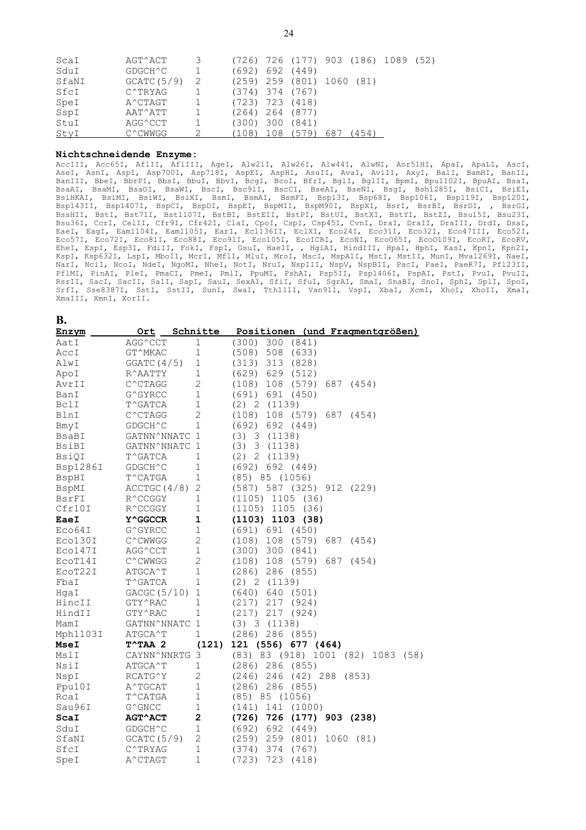| ScaI  | AGT^ACT            | 3 |                     | (726) 726 (177) 903 (186) 1089 (52) |     |      |  |
|-------|--------------------|---|---------------------|-------------------------------------|-----|------|--|
| SduI  | GDGCH^C            |   |                     | (692) 692 (449)                     |     |      |  |
| SfaNI | GCATC(5/9)         | 2 |                     | $(259)$ 259 $(801)$ 1060 $(81)$     |     |      |  |
| SfcI  | C^TRYAG            |   | $(374)$ 374 $(767)$ |                                     |     |      |  |
| SpeI  | $A^{\wedge}$ CTAGT |   | $(723)$ 723 $(418)$ |                                     |     |      |  |
| SspI  | AAT^ATT            |   |                     | (264) 264 (877)                     |     |      |  |
| StuI  | AGG^CCT            |   | (300) 300 (841)     |                                     |     |      |  |
| StyI  | $C^{\wedge}$ CWWGG |   | $(108)$ 108 (579)   |                                     | 687 | 454) |  |

#### **Nichtschneidende Enzyme:**

AccIII, Acc65I, AflII, AflIII, AgeI, Alw21I, Alw26I, Alw44I, AlwNI, Aor51HI, ApaI, ApaLI, AscI, AseI, AsnI, AspI, Asp700I, Asp718I, AspEI, AspHI, AsuII, AvaI, AviII, AxyI, BalI, BamHI, BanII, BanIII, BbeI, BbrPI, BbsI, BbuI, BbvI, BcgI, BcoI, BfrI, BglI, BglII, BpmI, Bpu1102I, BpuAI, BsaI, BsaAI, BsaMI, BsaOI, BsaWI, BscI, Bsc91I, BscCI, BseAI, BseNI, BsgI, Bsh1285I, BsiCI, BsiEI, BsiHKAI, BsiMI, BsiWI, BsiXI, BsmI, BsmAI, BsmFI, Bsp13I, Bsp68I, Bsp106I, Bsp119I, Bsp120I, Bsp143II, Bsp1407I, BspCI, BspDI, BspEI, BspMII, BspM90I, BspXI, BsrI, BsrBI, BsrDI, , BsrGI, BssHII, BstI, Bst71I, Bst1107I, BstBI, BstEII, BstPI, BstUI, BstXI, BstYI, BstZI, Bsu15I, Bsu23I, Bsu36I, CcrI, CelII, Cfr9I, Cfr42I, ClaI, CpoI, CspI, Csp45I, CvnI, DraI, DraII, DraIII, DrdI, DsaI, EaeI, EagI, Eam1104I, Eam1105I, EarI, Ecl136II, EclXI, Eco24I, Eco31I, Eco32I, Eco47III, Eco52I, Eco57I, Eco72I, Eco81I, Eco88I, Eco91I, Eco105I, EcoICRI, EcoNI, EcoO65I, EcoO109I, EcoRI, EcoRV, EheI, EspI, Esp3I, FdiII, FokI, FspI, GsuI, HaeII, , HgiAI, HindIII, HpaI, HphI, KasI, KpnI, Kpn2I, KspI, Ksp632I, LspI, MboII, McrI, MflI, MluI, MroI, MscI, MspA1I, MstI, MstII, MunI, Mva1269I, NaeI, NarI, NciI, NcoI, NdeI, NgoMI, NheI, NotI, NruI, NspIII, NspV, NspBII, PacI, PaeI, PaeR7I, Pfl23II, PflMI, PinAI, PleI, PmaCI, PmeI, PmlI, PpuMI, PshAI, Psp5II, Psp1406I, PspAI, PstI, PvuI, PvuII, RsrII, SacI, SacII, SalI, SapI, SauI, SexAI, SfiI, SfuI, SgrAI, SmaI, SnaBI, SnoI, SphI, SplI, SpoI, SrfI, Sse8387I, SstI, SstII, SunI, SwaI, Tth111I, Van91I, VspI, XbaI, XcmI, XhoI, XhoII, XmaI, XmaIII, XmnI, XorII.

| <b>B.</b>   |                        |                         |                                              |
|-------------|------------------------|-------------------------|----------------------------------------------|
| Enzym       |                        |                         | Ort Schnitte Positionen (und Fragmentgrößen) |
| AatI        | AGG^CCT                | $\mathbf 1$             | $(300)$ 300 $(841)$                          |
| AccI        | GT^MKAC                | $\mathbf 1$             | (508) 508 (633)                              |
| AlwI        | GGATC(4/5)             | 1                       | $(313)$ 313 $(828)$                          |
| ApoI        | $R^{\wedge}AATTY$      | $\mathbf 1$             | $(629)$ 629 $(512)$                          |
| AvrII       | $C^{\wedge}$ CTAGG     | $\mathbf{2}$            | (108) 108 (579) 687 (454)                    |
| BanI        | G^GYRCC                | 1                       | (691) 691 (450)                              |
| BclI        | T^GATCA                | $\mathbf{1}$            | (2) 2 (1139)                                 |
| BlnI        | C^CTAGG                | $\overline{2}$          | $(108)$ 108 $(579)$ 687 $(454)$              |
| BmyI        | GDGCH^C                | $\mathbf{1}$            | (692) 692 (449)                              |
| BsaBI       | GATNN^NNATC 1          |                         | (3) 3 (1138)                                 |
| BsiBI       | GATNN^NNATC 1          |                         | $(3)$ 3 $(1138)$                             |
| BsiQI       | T^GATCA                | $\mathbf 1$             | (2) 2 (1139)                                 |
| Bsp1286I    | GDGCH^C                | $\mathbf{1}$            | (692) 692 (449)                              |
| BspHI       | T^CATGA                | 1                       | $(85)$ $85$ $(1056)$                         |
| BspMI       | $\texttt{ACCTGC(4/8)}$ | 2                       | (587) 587 (325) 912 (229)                    |
| BsrFI       | R^CCGGY                | $\mathbf 1$             | $(1105)$ 1105 (36)                           |
| Cfr10I      | R^CCGGY                | $\mathbf{1}$            | $(1105)$ 1105 (36)                           |
| EaeI        | <b>Y^GGCCR</b>         | 1                       | $(1103)$ 1103 $(38)$                         |
| Eco64I      | G^GYRCC                | $\mathbf 1$             | (691) 691 (450)                              |
| Eco130I     | C^CWWGG                | $\overline{2}$          | $(108)$ 108 $(579)$ 687 $(454)$              |
| Eco147I     | AGG^CCT                | $\mathbf 1$             | $(300)$ 300 $(841)$                          |
| ECOT14I     | C^CWWGG                | $\mathbf{2}$            | 108 (579)<br>687 (454)<br>(108)              |
| ECOT22I     | ATGCA^T                | $\mathbf{1}$            | $(286)$ 286 $(855)$                          |
| FbaI        | T^GATCA                | $\mathbf{1}$            | (2) 2 (1139)                                 |
| HqaI        | GACGC (5/10)           | $\mathbf{1}$            | $(640)$ 640 (501)                            |
| HincII      | GTY^RAC                | $\mathbf{1}$            | $(217)$ 217 $(924)$                          |
| HindII      | GTY^RAC                | $\mathbf{1}$            | $(217)$ 217 $(924)$                          |
| MamI        | GATNN^NNATC 1          |                         | (3) 3 (1138)                                 |
| Mph1103I    | ATGCA^T                | 1                       | $(286)$ 286 $(855)$                          |
| <b>MseI</b> | $T^{\wedge}$ TAA 2     | (121)                   | 121 (556) 677 (464)                          |
| MslI        | CAYNN^NNRTG 3          |                         | (83) 83 (918) 1001 (82) 1083 (58)            |
| NsiI        | $\verb ATGCA ^T $      | 1                       | $(286)$ 286 $(855)$                          |
| NspI        | RCATG^Y                | $\mathbf{2}$            | (246) 246 (42) 288 (853)                     |
| Ppu10I      | A^TGCAT                | $\mathbf 1$             | $(286)$ 286 $(855)$                          |
| RcaI        | T^CATGA                | $\mathbf{1}$            | $(85)$ $85$ $(1056)$                         |
| Sau96I      | G^GNCC                 | 1                       | $(141)$ 141 $(1000)$                         |
| ScaI        | <b>AGT^ACT</b>         | $\overline{\mathbf{c}}$ | (726) 726 (177) 903 (238)                    |
| SduI        | GDGCH^C                | $\mathbf{1}$            | (692) 692 (449)                              |
| SfaNI       | GCATC(5/9)             | 2                       | 259 (801)<br>(259)<br>1060 (81)              |
| SfcI        | C^TRYAG                | $\mathbf 1$             | (374)<br>374 (767)                           |
| SpeI        | A^CTAGT                | $\mathbf 1$             | 723<br>(723)<br>(418)                        |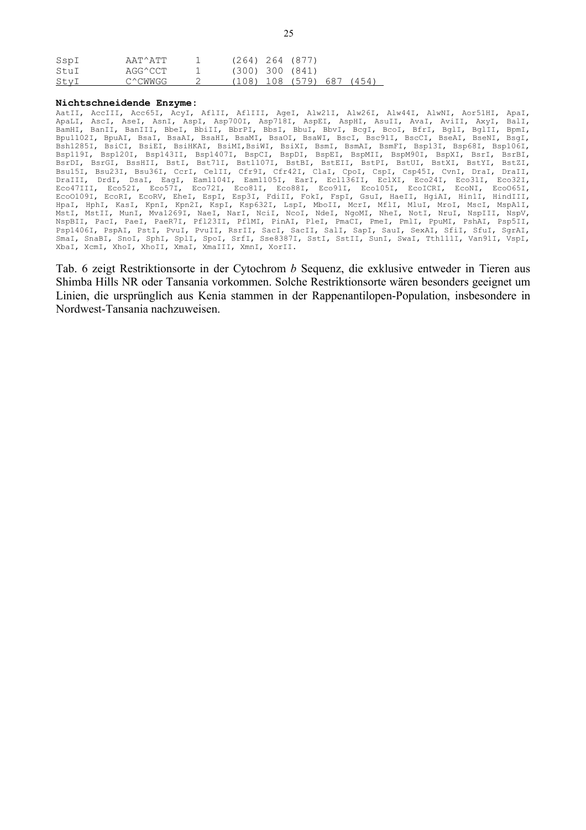| SspI | AAT^ATT | $(264)$ 264 (877)   |                     |       |
|------|---------|---------------------|---------------------|-------|
| StuI | AGG^CCT | $(300)$ 300 $(841)$ |                     |       |
| StvI | C^CWWGG |                     | (108) 108 (579) 687 | (454) |

#### **Nichtschneidende Enzyme:**

AatII, AccIII, Acc65I, AcyI, AflII, AflIII, AgeI, Alw21I, Alw26I, Alw44I, AlwNI, Aor51HI, ApaI, ApaLI, AscI, AseI, AsnI, AspI, Asp700I, Asp718I, AspEI, AspHI, AsuII, AvaI, AviII, AxyI, BalI, BamHI, BanII, BanIII, BbeI, BbiII, BbrPI, BbsI, BbuI, BbvI, BcgI, BcoI, BfrI, BglI, BglII, BpmI,<br>Bpu1102I, BpuAI, BsaI, BsaAI, BsaHI, BsaMI, BsaOI, BsaWI, BscI, Bsc91I, BscCI, BseAI, BseNI, BsgI, Bpu1102I, BpuAI, BsaI, BsaAI, BsaHI, BsaMI, BsaOI, BsaWI, BscI, Bsc91I, BscCI, Bsh1285I, BsiCI, BsiEI, BsiHKAI, BsiMI,BsiWI, BsiXI, BsmI, BsmAI, BsmFI, Bsp13I, Bsp68I, Bsp106I, Bsp119I, Bsp120I, Bsp143II, Bsp1407I, BspCI, BspDI, BspEI, BspMII, BspM90I, BspXI, BsrI, BsrBI, BsrDI, BsrGI, BssHII, BstI, Bst71I, Bst1107I, BstBI, BstEII, BstPI, BstUI, BstXI, BstYI, BstZI, Bsu15I, Bsu23I, Bsu36I, CcrI, CelII, Cfr9I, Cfr42I, ClaI, CpoI, CspI, Csp45I, CvnI, DraI, DraII, DraIII, DrdI, DsaI, EagI, Eam1104I, Eam1105I, EarI, Ecl136II, EclXI, Eco24I, Eco31I, Eco32I, Eco47III, Eco52I, Eco57I, Eco72I, Eco81I, Eco88I, Eco91I, Eco105I, EcoICRI, EcoNI, EcoO65I, EcoO109I, EcoRI, EcoRV, EheI, EspI, Esp3I, FdiII, FokI, FspI, GsuI, HaeII, HgiAI, Hin1I, HindIII, HpaI, HphI, KasI, KpnI, Kpn2I, KspI, Ksp632I, LspI, MboII, McrI, MflI, MluI, MroI, MscI, MspA1I, MstI, MstII, MunI, Mva1269I, NaeI, NarI, NciI, NcoI, NdeI, NgoMI, NheI, NotI, NruI, NspIII, NspV, NspBII, PacI, PaeI, PaeR7I, Pfl23II, PflMI, PinAI, PleI, PmaCI, PmeI, PmlI, PpuMI, PshAI, Psp5II, Psp1406I, PspAI, PstI, PvuI, PvuII, RsrII, SacI, SacII, SalI, SapI, SauI, SexAI, SfiI, SfuI, SgrAI, SmaI, SnaBI, SnoI, SphI, SplI, SpoI, SrfI, Sse8387I, SstI, SstII, SunI, SwaI, Tth111I, Van91I, VspI, XbaI, XcmI, XhoI, XhoII, XmaI, XmaIII, XmnI, XorII.

Tab. 6 zeigt Restriktionsorte in der Cytochrom *b* Sequenz, die exklusive entweder in Tieren aus Shimba Hills NR oder Tansania vorkommen. Solche Restriktionsorte wären besonders geeignet um Linien, die ursprünglich aus Kenia stammen in der Rappenantilopen-Population, insbesondere in Nordwest-Tansania nachzuweisen.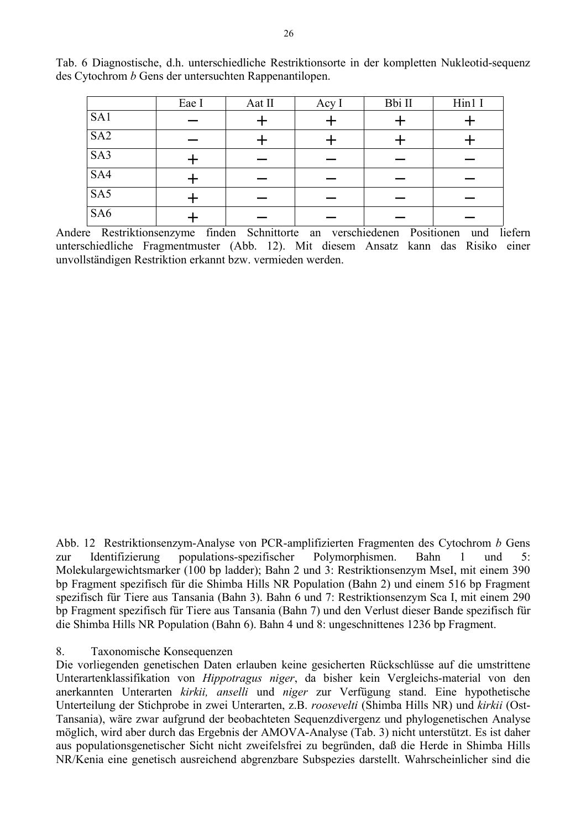|                 | Eae I | Aat II | Acy I | Bbi II | Hin1 I |
|-----------------|-------|--------|-------|--------|--------|
| SA1             |       |        |       |        |        |
| SA <sub>2</sub> |       |        |       |        |        |
| SA3             |       |        |       |        |        |
| SA4             |       |        |       |        |        |
| SA5             |       |        |       |        |        |
| SA <sub>6</sub> |       |        |       |        |        |

Tab. 6 Diagnostische, d.h. unterschiedliche Restriktionsorte in der kompletten Nukleotid-sequenz des Cytochrom *b* Gens der untersuchten Rappenantilopen.

Andere Restriktionsenzyme finden Schnittorte an verschiedenen Positionen und liefern unterschiedliche Fragmentmuster (Abb. 12). Mit diesem Ansatz kann das Risiko einer unvollständigen Restriktion erkannt bzw. vermieden werden.

Abb. 12 Restriktionsenzym-Analyse von PCR-amplifizierten Fragmenten des Cytochrom *b* Gens zur Identifizierung populations-spezifischer Polymorphismen. Bahn 1 und 5: Molekulargewichtsmarker (100 bp ladder); Bahn 2 und 3: Restriktionsenzym MseI, mit einem 390 bp Fragment spezifisch für die Shimba Hills NR Population (Bahn 2) und einem 516 bp Fragment spezifisch für Tiere aus Tansania (Bahn 3). Bahn 6 und 7: Restriktionsenzym Sca I, mit einem 290 bp Fragment spezifisch für Tiere aus Tansania (Bahn 7) und den Verlust dieser Bande spezifisch für die Shimba Hills NR Population (Bahn 6). Bahn 4 und 8: ungeschnittenes 1236 bp Fragment.

#### 8. Taxonomische Konsequenzen

Die vorliegenden genetischen Daten erlauben keine gesicherten Rückschlüsse auf die umstrittene Unterartenklassifikation von *Hippotragus niger*, da bisher kein Vergleichs-material von den anerkannten Unterarten *kirkii, anselli* und *niger* zur Verfügung stand. Eine hypothetische Unterteilung der Stichprobe in zwei Unterarten, z.B. *roosevelti* (Shimba Hills NR) und *kirkii* (Ost-Tansania), wäre zwar aufgrund der beobachteten Sequenzdivergenz und phylogenetischen Analyse möglich, wird aber durch das Ergebnis der AMOVA-Analyse (Tab. 3) nicht unterstützt. Es ist daher aus populationsgenetischer Sicht nicht zweifelsfrei zu begründen, daß die Herde in Shimba Hills NR/Kenia eine genetisch ausreichend abgrenzbare Subspezies darstellt. Wahrscheinlicher sind die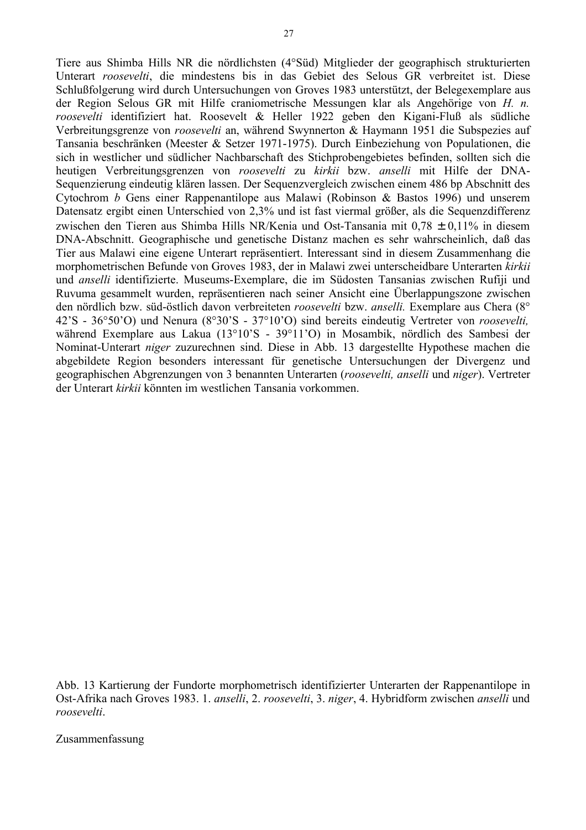Tiere aus Shimba Hills NR die nördlichsten (4°Süd) Mitglieder der geographisch strukturierten Unterart *roosevelti*, die mindestens bis in das Gebiet des Selous GR verbreitet ist. Diese Schlußfolgerung wird durch Untersuchungen von Groves 1983 unterstützt, der Belegexemplare aus der Region Selous GR mit Hilfe craniometrische Messungen klar als Angehörige von *H. n. roosevelti* identifiziert hat. Roosevelt & Heller 1922 geben den Kigani-Fluß als südliche Verbreitungsgrenze von *roosevelti* an, während Swynnerton & Haymann 1951 die Subspezies auf Tansania beschränken (Meester & Setzer 1971-1975). Durch Einbeziehung von Populationen, die sich in westlicher und südlicher Nachbarschaft des Stichprobengebietes befinden, sollten sich die heutigen Verbreitungsgrenzen von *roosevelti* zu *kirkii* bzw. *anselli* mit Hilfe der DNA-Sequenzierung eindeutig klären lassen. Der Sequenzvergleich zwischen einem 486 bp Abschnitt des Cytochrom *b* Gens einer Rappenantilope aus Malawi (Robinson & Bastos 1996) und unserem Datensatz ergibt einen Unterschied von 2,3% und ist fast viermal größer, als die Sequenzdifferenz zwischen den Tieren aus Shimba Hills NR/Kenia und Ost-Tansania mit 0,78 ± 0,11% in diesem DNA-Abschnitt. Geographische und genetische Distanz machen es sehr wahrscheinlich, daß das Tier aus Malawi eine eigene Unterart repräsentiert. Interessant sind in diesem Zusammenhang die morphometrischen Befunde von Groves 1983, der in Malawi zwei unterscheidbare Unterarten *kirkii* und *anselli* identifizierte. Museums-Exemplare, die im Südosten Tansanias zwischen Rufiji und Ruvuma gesammelt wurden, repräsentieren nach seiner Ansicht eine Überlappungszone zwischen den nördlich bzw. süd-östlich davon verbreiteten *roosevelti* bzw. *anselli.* Exemplare aus Chera (8° 42'S - 36°50'O) und Nenura (8°30'S - 37°10'O) sind bereits eindeutig Vertreter von *roosevelti,* während Exemplare aus Lakua (13°10'S - 39°11'O) in Mosambik, nördlich des Sambesi der Nominat-Unterart *niger* zuzurechnen sind. Diese in Abb. 13 dargestellte Hypothese machen die abgebildete Region besonders interessant für genetische Untersuchungen der Divergenz und geographischen Abgrenzungen von 3 benannten Unterarten (*roosevelti, anselli* und *niger*). Vertreter der Unterart *kirkii* könnten im westlichen Tansania vorkommen.

Abb. 13 Kartierung der Fundorte morphometrisch identifizierter Unterarten der Rappenantilope in Ost-Afrika nach Groves 1983. 1. *anselli*, 2. *roosevelti*, 3. *niger*, 4. Hybridform zwischen *anselli* und *roosevelti*.

Zusammenfassung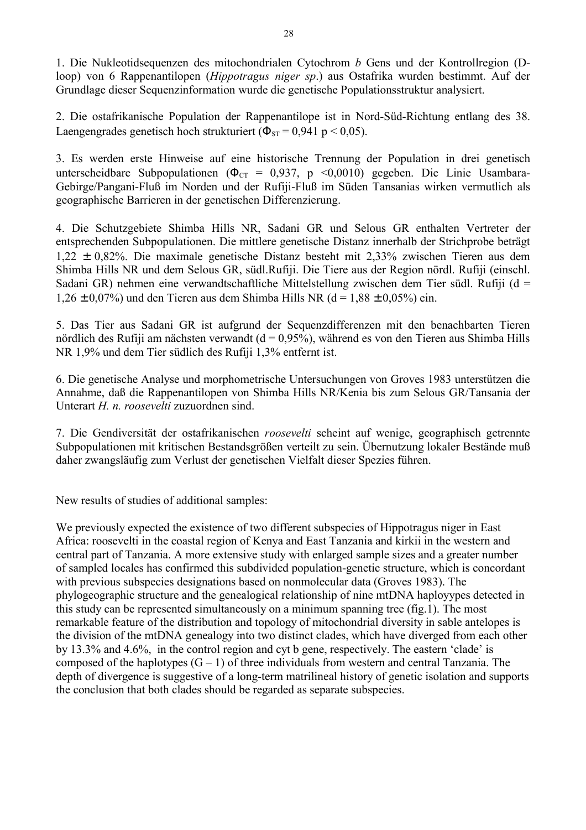1. Die Nukleotidsequenzen des mitochondrialen Cytochrom *b* Gens und der Kontrollregion (Dloop) von 6 Rappenantilopen (*Hippotragus niger sp*.) aus Ostafrika wurden bestimmt. Auf der Grundlage dieser Sequenzinformation wurde die genetische Populationsstruktur analysiert.

2. Die ostafrikanische Population der Rappenantilope ist in Nord-Süd-Richtung entlang des 38. Laengengrades genetisch hoch strukturiert ( $\Phi_{ST}$  = 0,941 p < 0,05).

3. Es werden erste Hinweise auf eine historische Trennung der Population in drei genetisch unterscheidbare Subpopulationen ( $\Phi_{CT} = 0.937$ , p <0.0010) gegeben. Die Linie Usambara-Gebirge/Pangani-Fluß im Norden und der Rufiji-Fluß im Süden Tansanias wirken vermutlich als geographische Barrieren in der genetischen Differenzierung.

4. Die Schutzgebiete Shimba Hills NR, Sadani GR und Selous GR enthalten Vertreter der entsprechenden Subpopulationen. Die mittlere genetische Distanz innerhalb der Strichprobe beträgt 1,22 ± 0,82%. Die maximale genetische Distanz besteht mit 2,33% zwischen Tieren aus dem Shimba Hills NR und dem Selous GR, südl.Rufiji. Die Tiere aus der Region nördl. Rufiji (einschl. Sadani GR) nehmen eine verwandtschaftliche Mittelstellung zwischen dem Tier südl. Rufiji (d =  $1.26 \pm 0.07\%$  und den Tieren aus dem Shimba Hills NR (d = 1.88  $\pm$  0.05%) ein.

5. Das Tier aus Sadani GR ist aufgrund der Sequenzdifferenzen mit den benachbarten Tieren nördlich des Rufiji am nächsten verwandt ( $d = 0.95\%$ ), während es von den Tieren aus Shimba Hills NR 1,9% und dem Tier südlich des Rufiji 1,3% entfernt ist.

6. Die genetische Analyse und morphometrische Untersuchungen von Groves 1983 unterstützen die Annahme, daß die Rappenantilopen von Shimba Hills NR/Kenia bis zum Selous GR/Tansania der Unterart *H. n. roosevelti* zuzuordnen sind.

7. Die Gendiversität der ostafrikanischen *roosevelti* scheint auf wenige, geographisch getrennte Subpopulationen mit kritischen Bestandsgrößen verteilt zu sein. Übernutzung lokaler Bestände muß daher zwangsläufig zum Verlust der genetischen Vielfalt dieser Spezies führen.

New results of studies of additional samples:

We previously expected the existence of two different subspecies of Hippotragus niger in East Africa: roosevelti in the coastal region of Kenya and East Tanzania and kirkii in the western and central part of Tanzania. A more extensive study with enlarged sample sizes and a greater number of sampled locales has confirmed this subdivided population-genetic structure, which is concordant with previous subspecies designations based on nonmolecular data (Groves 1983). The phylogeographic structure and the genealogical relationship of nine mtDNA haployypes detected in this study can be represented simultaneously on a minimum spanning tree (fig.1). The most remarkable feature of the distribution and topology of mitochondrial diversity in sable antelopes is the division of the mtDNA genealogy into two distinct clades, which have diverged from each other by 13.3% and 4.6%, in the control region and cyt b gene, respectively. The eastern 'clade' is composed of the haplotypes  $(G - 1)$  of three individuals from western and central Tanzania. The depth of divergence is suggestive of a long-term matrilineal history of genetic isolation and supports the conclusion that both clades should be regarded as separate subspecies.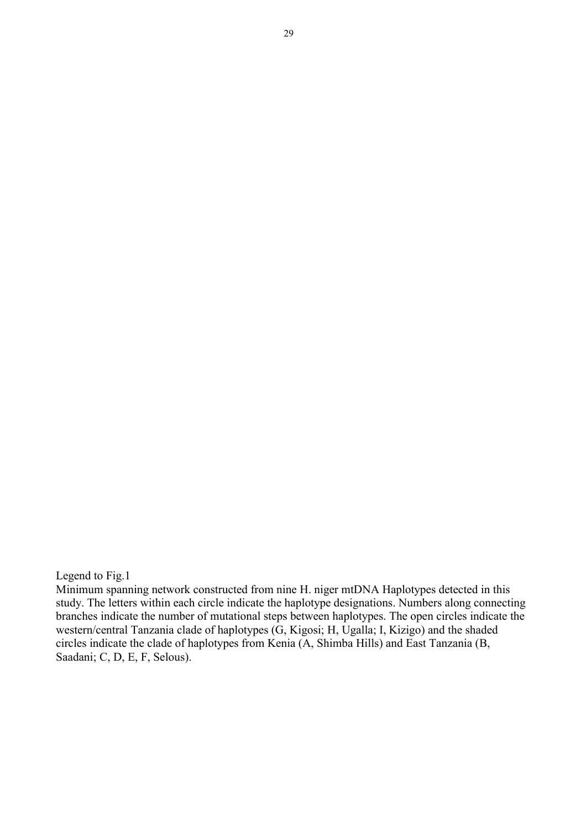Legend to Fig.1

Minimum spanning network constructed from nine H. niger mtDNA Haplotypes detected in this study. The letters within each circle indicate the haplotype designations. Numbers along connecting branches indicate the number of mutational steps between haplotypes. The open circles indicate the western/central Tanzania clade of haplotypes (G, Kigosi; H, Ugalla; I, Kizigo) and the shaded circles indicate the clade of haplotypes from Kenia (A, Shimba Hills) and East Tanzania (B, Saadani; C, D, E, F, Selous).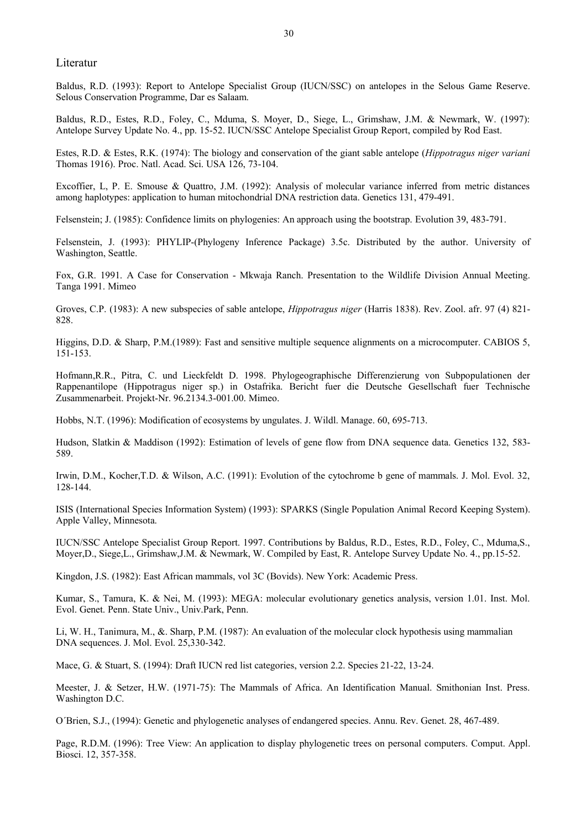Literatur

Baldus, R.D. (1993): Report to Antelope Specialist Group (IUCN/SSC) on antelopes in the Selous Game Reserve. Selous Conservation Programme, Dar es Salaam.

Baldus, R.D., Estes, R.D., Foley, C., Mduma, S. Moyer, D., Siege, L., Grimshaw, J.M. & Newmark, W. (1997): Antelope Survey Update No. 4., pp. 15-52. IUCN/SSC Antelope Specialist Group Report, compiled by Rod East.

Estes, R.D. & Estes, R.K. (1974): The biology and conservation of the giant sable antelope (*Hippotragus niger variani* Thomas 1916). Proc. Natl. Acad. Sci. USA 126, 73-104.

Excoffier, L, P. E. Smouse & Quattro, J.M. (1992): Analysis of molecular variance inferred from metric distances among haplotypes: application to human mitochondrial DNA restriction data. Genetics 131, 479-491.

Felsenstein; J. (1985): Confidence limits on phylogenies: An approach using the bootstrap. Evolution 39, 483-791.

Felsenstein, J. (1993): PHYLIP-(Phylogeny Inference Package) 3.5c. Distributed by the author. University of Washington, Seattle.

Fox, G.R. 1991. A Case for Conservation - Mkwaja Ranch. Presentation to the Wildlife Division Annual Meeting. Tanga 1991. Mimeo

Groves, C.P. (1983): A new subspecies of sable antelope, *Hippotragus niger* (Harris 1838). Rev. Zool. afr. 97 (4) 821- 828.

Higgins, D.D. & Sharp, P.M.(1989): Fast and sensitive multiple sequence alignments on a microcomputer. CABIOS 5, 151-153.

Hofmann,R.R., Pitra, C. und Lieckfeldt D. 1998. Phylogeographische Differenzierung von Subpopulationen der Rappenantilope (Hippotragus niger sp.) in Ostafrika. Bericht fuer die Deutsche Gesellschaft fuer Technische Zusammenarbeit. Projekt-Nr. 96.2134.3-001.00. Mimeo.

Hobbs, N.T. (1996): Modification of ecosystems by ungulates. J. Wildl. Manage. 60, 695-713.

Hudson, Slatkin & Maddison (1992): Estimation of levels of gene flow from DNA sequence data. Genetics 132, 583- 589.

Irwin, D.M., Kocher,T.D. & Wilson, A.C. (1991): Evolution of the cytochrome b gene of mammals. J. Mol. Evol. 32, 128-144.

ISIS (International Species Information System) (1993): SPARKS (Single Population Animal Record Keeping System). Apple Valley, Minnesota.

IUCN/SSC Antelope Specialist Group Report. 1997. Contributions by Baldus, R.D., Estes, R.D., Foley, C., Mduma,S., Moyer,D., Siege,L., Grimshaw,J.M. & Newmark, W. Compiled by East, R. Antelope Survey Update No. 4., pp.15-52.

Kingdon, J.S. (1982): East African mammals, vol 3C (Bovids). New York: Academic Press.

Kumar, S., Tamura, K. & Nei, M. (1993): MEGA: molecular evolutionary genetics analysis, version 1.01. Inst. Mol. Evol. Genet. Penn. State Univ., Univ.Park, Penn.

Li, W. H., Tanimura, M., &. Sharp, P.M. (1987): An evaluation of the molecular clock hypothesis using mammalian DNA sequences. J. Mol. Evol. 25,330-342.

Mace, G. & Stuart, S. (1994): Draft IUCN red list categories, version 2.2. Species 21-22, 13-24.

Meester, J. & Setzer, H.W. (1971-75): The Mammals of Africa. An Identification Manual. Smithonian Inst. Press. Washington D.C.

O´Brien, S.J., (1994): Genetic and phylogenetic analyses of endangered species. Annu. Rev. Genet. 28, 467-489.

Page, R.D.M. (1996): Tree View: An application to display phylogenetic trees on personal computers. Comput. Appl. Biosci. 12, 357-358.